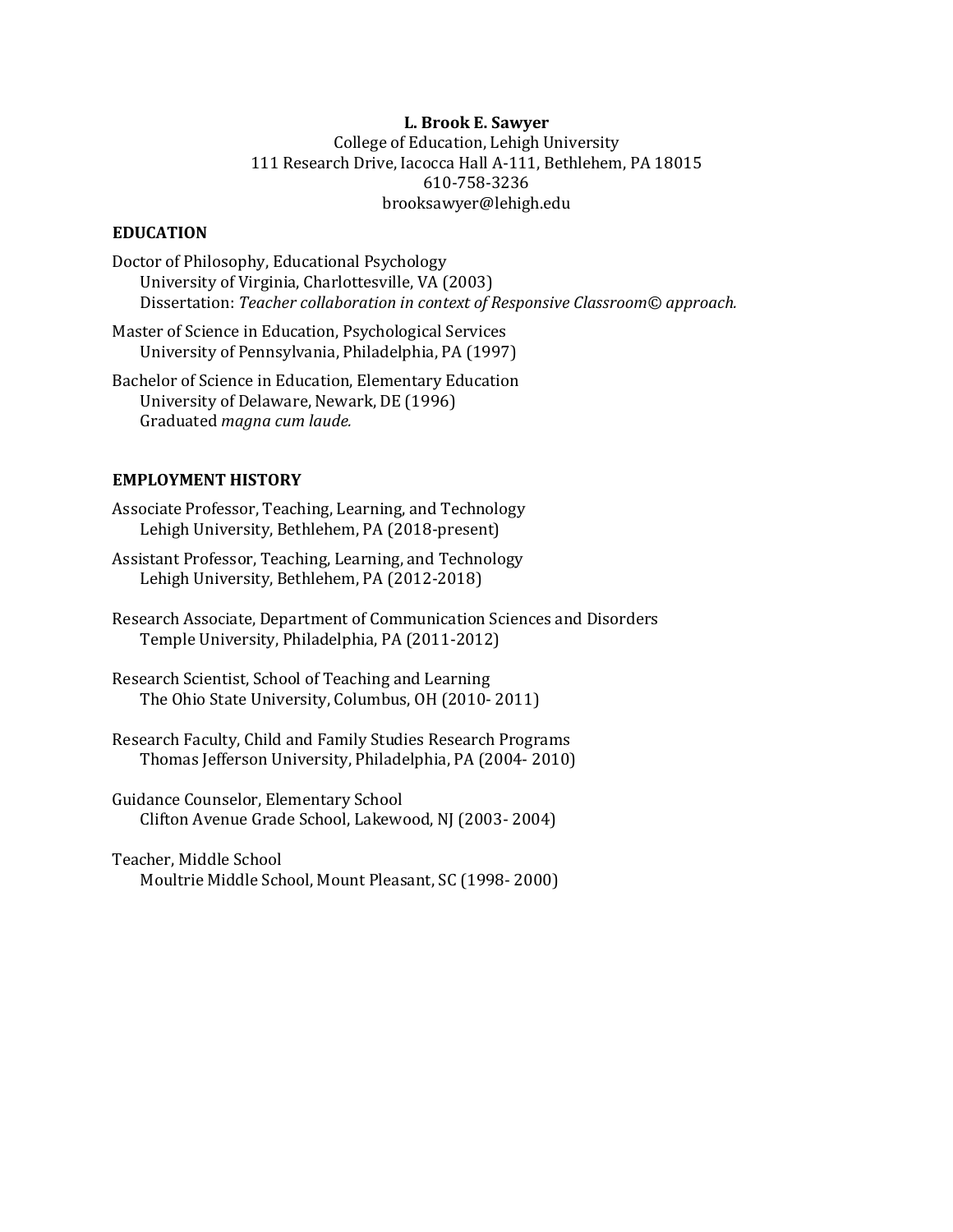# **L. Brook E. Sawyer** College of Education, Lehigh University 111 Research Drive, Iacocca Hall A-111, Bethlehem, PA 18015 610-758-3236 brooksawyer@lehigh.edu

# **EDUCATION**

Doctor of Philosophy, Educational Psychology University of Virginia, Charlottesville, VA (2003) Dissertation: Teacher collaboration in context of Responsive Classroom© approach.

Master of Science in Education, Psychological Services University of Pennsylvania, Philadelphia, PA (1997)

Bachelor of Science in Education, Elementary Education University of Delaware, Newark, DE (1996) Graduated *magna* cum laude.

# **EMPLOYMENT HISTORY**

Associate Professor, Teaching, Learning, and Technology Lehigh University, Bethlehem, PA (2018-present)

Assistant Professor, Teaching, Learning, and Technology Lehigh University, Bethlehem, PA (2012-2018)

Research Associate, Department of Communication Sciences and Disorders Temple University, Philadelphia, PA (2011-2012)

Research Scientist, School of Teaching and Learning The Ohio State University, Columbus, OH (2010-2011)

Research Faculty, Child and Family Studies Research Programs Thomas Jefferson University, Philadelphia, PA (2004- 2010)

Guidance Counselor, Elementary School Clifton Avenue Grade School, Lakewood, NJ (2003- 2004)

Teacher, Middle School Moultrie Middle School, Mount Pleasant, SC (1998- 2000)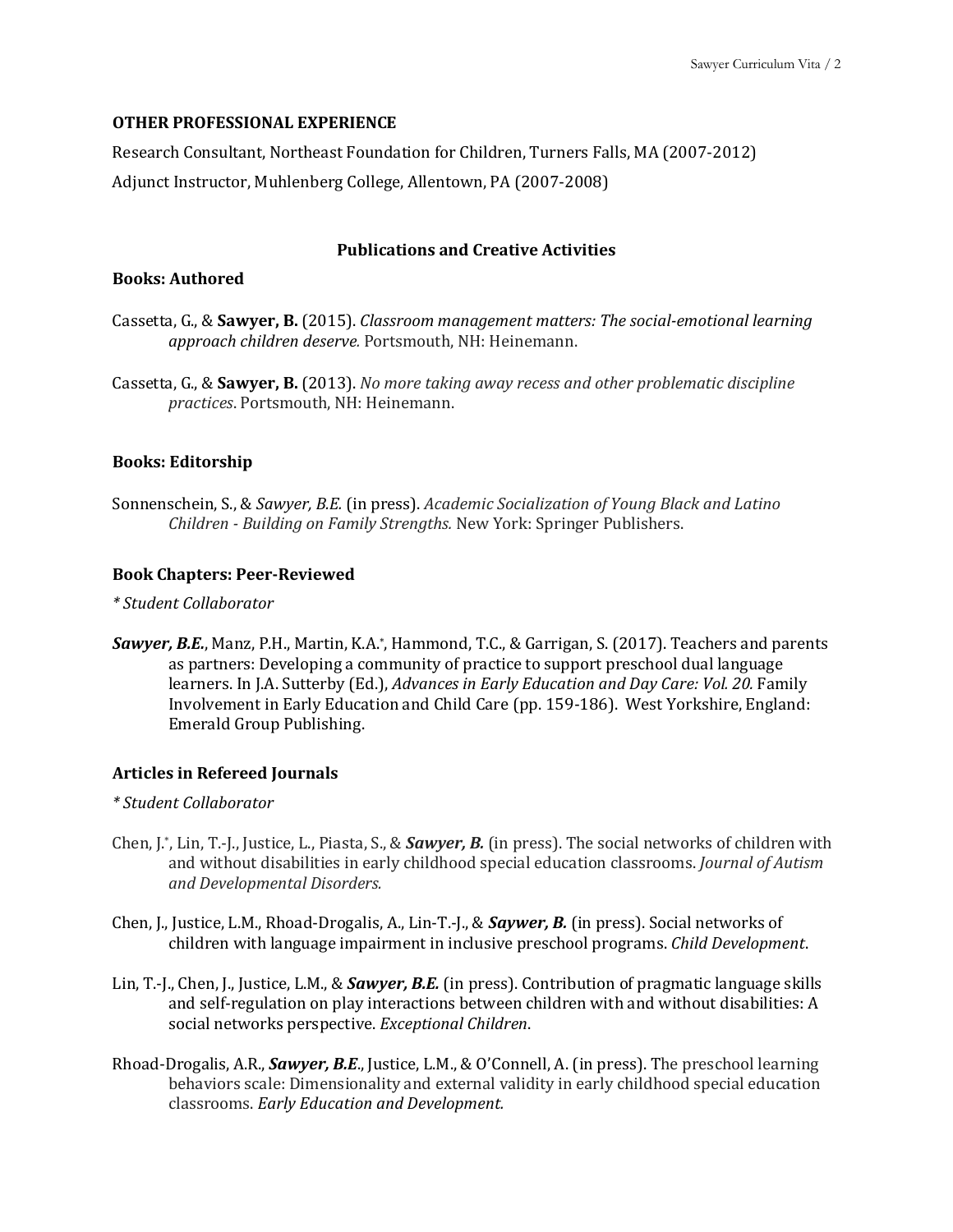#### **OTHER PROFESSIONAL EXPERIENCE**

Research Consultant, Northeast Foundation for Children, Turners Falls, MA (2007-2012) Adjunct Instructor, Muhlenberg College, Allentown, PA (2007-2008)

# **Publications and Creative Activities**

#### **Books: Authored**

- Cassetta, G., & Sawyer, B. (2015). *Classroom management matters: The social-emotional learning* approach children deserve. Portsmouth, NH: Heinemann.
- Cassetta, G., & Sawyer, B. (2013). *No more taking away recess and other problematic discipline practices*. Portsmouth, NH: Heinemann.

## **Books: Editorship**

Sonnenschein, S., & *Sawyer, B.E.* (in press). *Academic Socialization of Young Black and Latino Children - Building on Family Strengths.* New York: Springer Publishers.

#### **Book Chapters: Peer-Reviewed**

#### *\* Student Collaborator*

Sawyer, B.E., Manz, P.H., Martin, K.A.\*, Hammond, T.C., & Garrigan, S. (2017). Teachers and parents as partners: Developing a community of practice to support preschool dual language learners. In J.A. Sutterby (Ed.), *Advances in Early Education and Day Care: Vol. 20.* Family Involvement in Early Education and Child Care (pp. 159-186). West Yorkshire, England: Emerald Group Publishing.

## **Articles in Refereed Journals**

#### *\* Student Collaborator*

- Chen, J.\*, Lin, T.-J., Justice, L., Piasta, S., & **Sawyer, B.** (in press). The social networks of children with and without disabilities in early childhood special education classrooms. *Journal of Autism and Developmental Disorders.*
- Chen, J., Justice, L.M., Rhoad-Drogalis, A., Lin-T.-J., & **Saywer, B.** (in press). Social networks of children with language impairment in inclusive preschool programs. *Child Development*.
- Lin, T.-J., Chen, J., Justice, L.M., & **Sawyer, B.E.** (in press). Contribution of pragmatic language skills and self-regulation on play interactions between children with and without disabilities: A social networks perspective. *Exceptional Children*.
- Rhoad-Drogalis, A.R., **Sawyer, B.E.**, Justice, L.M., & O'Connell, A. (in press). The preschool learning behaviors scale: Dimensionality and external validity in early childhood special education classrooms. *Early Education and Development.*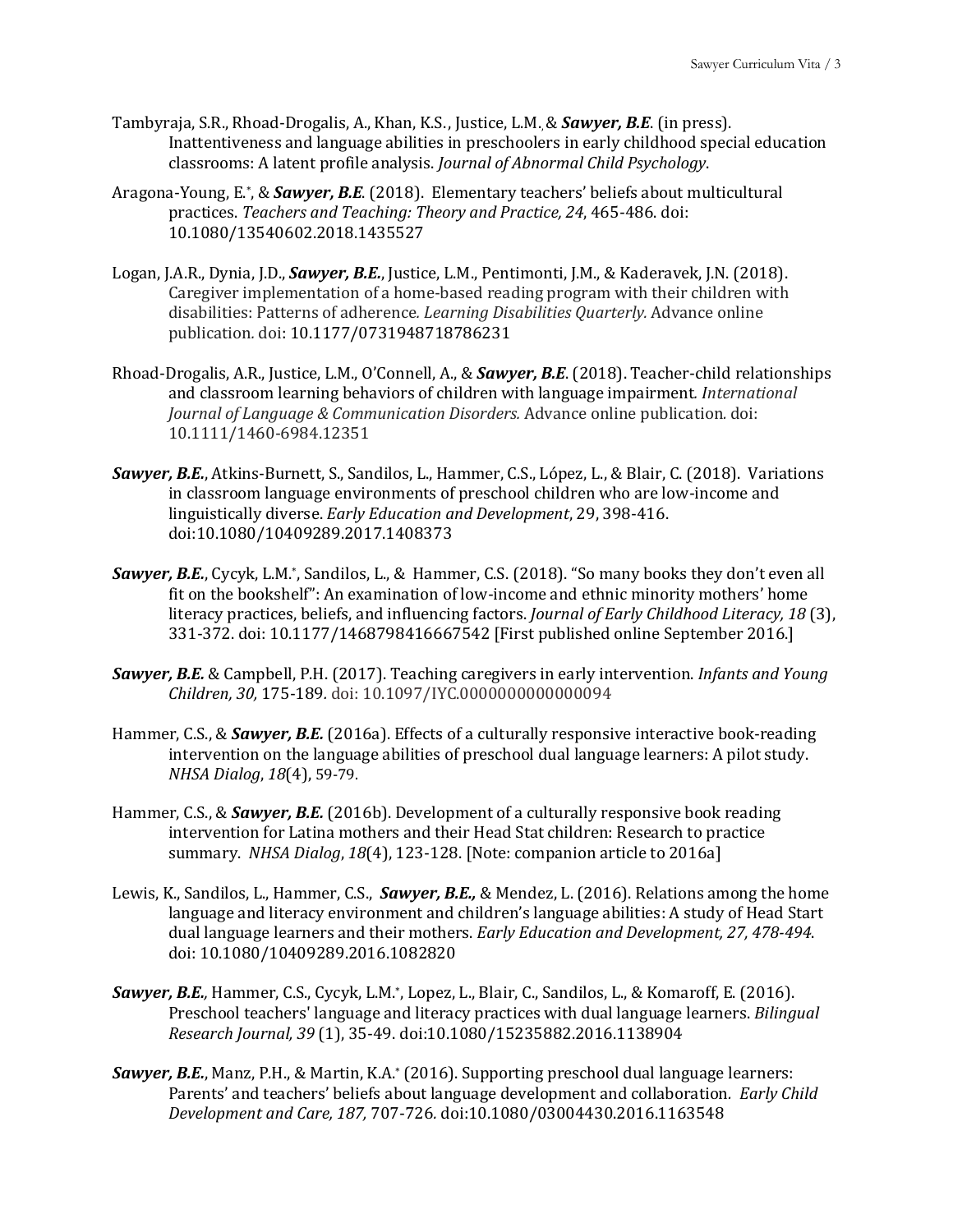- Tambyraja, S.R., Rhoad-Drogalis, A., Khan, K.S., Justice, L.M. & **Sawyer, B.E.** (in press). Inattentiveness and language abilities in preschoolers in early childhood special education classrooms: A latent profile analysis. *Journal of Abnormal Child Psychology*.
- Aragona-Young, E.\*, & **Sawyer, B.E.** (2018). Elementary teachers' beliefs about multicultural practices. *Teachers and Teaching: Theory and Practice, 24, 465-486. doi:* 10.1080/13540602.2018.1435527
- Logan, J.A.R., Dynia, J.D., *Sawyer, B.E.*, Justice, L.M., Pentimonti, J.M., & Kaderavek, J.N. (2018). Caregiver implementation of a home-based reading program with their children with disabilities: Patterns of adherence. *Learning Disabilities Quarterly*. Advance online publication*.* doi: 10.1177/0731948718786231
- Rhoad-Drogalis, A.R., Justice, L.M., O'Connell, A., & **Sawyer, B.E**. (2018). Teacher-child relationships and classroom learning behaviors of children with language impairment. *International Journal of Language & Communication Disorders.* Advance online publication. doi: 10.1111/1460-6984.12351
- **Sawyer, B.E.**, Atkins-Burnett, S., Sandilos, L., Hammer, C.S., López, L., & Blair, C. (2018). Variations in classroom language environments of preschool children who are low-income and linguistically diverse. *Early Education and Development*, 29, 398-416. doi:10.1080/10409289.2017.1408373
- **Sawyer, B.E.**, Cycyk, L.M.\*, Sandilos, L., & Hammer, C.S. (2018). "So many books they don't even all fit on the bookshelf": An examination of low-income and ethnic minority mothers' home literacy practices, beliefs, and influencing factors. *Journal of Early Childhood Literacy*, 18 (3), 331-372. doi: 10.1177/1468798416667542 [First published online September 2016.]
- **Sawyer, B.E.** & Campbell, P.H. (2017). Teaching caregivers in early intervention. *Infants and Young Children, 30,* 175-189*.* doi: 10.1097/IYC.0000000000000094
- Hammer, C.S., & **Sawyer, B.E.** (2016a). Effects of a culturally responsive interactive book-reading intervention on the language abilities of preschool dual language learners: A pilot study. *NHSA Dialog, 18*(4), 59-79.
- Hammer, C.S., & **Sawyer, B.E.** (2016b). Development of a culturally responsive book reading intervention for Latina mothers and their Head Stat children: Research to practice summary. NHSA Dialog, 18(4), 123-128. [Note: companion article to 2016a]
- Lewis, K., Sandilos, L., Hammer, C.S., *Sawyer, B.E.,* & Mendez, L. (2016). Relations among the home language and literacy environment and children's language abilities: A study of Head Start dual language learners and their mothers. *Early Education and Development, 27, 478-494*. doi: 10.1080/10409289.2016.1082820
- **Sawyer, B.E.**, Hammer, C.S., Cycyk, L.M.\*, Lopez, L., Blair, C., Sandilos, L., & Komaroff, E. (2016). Preschool teachers' language and literacy practices with dual language learners. *Bilingual Research Journal, 39* (1), 35-49. doi:10.1080/15235882.2016.1138904
- **Sawyer, B.E.**, Manz, P.H., & Martin, K.A.\* (2016). Supporting preschool dual language learners: Parents' and teachers' beliefs about language development and collaboration. Early Child *Development and Care, 187,* 707-726*.* doi:10.1080/03004430.2016.1163548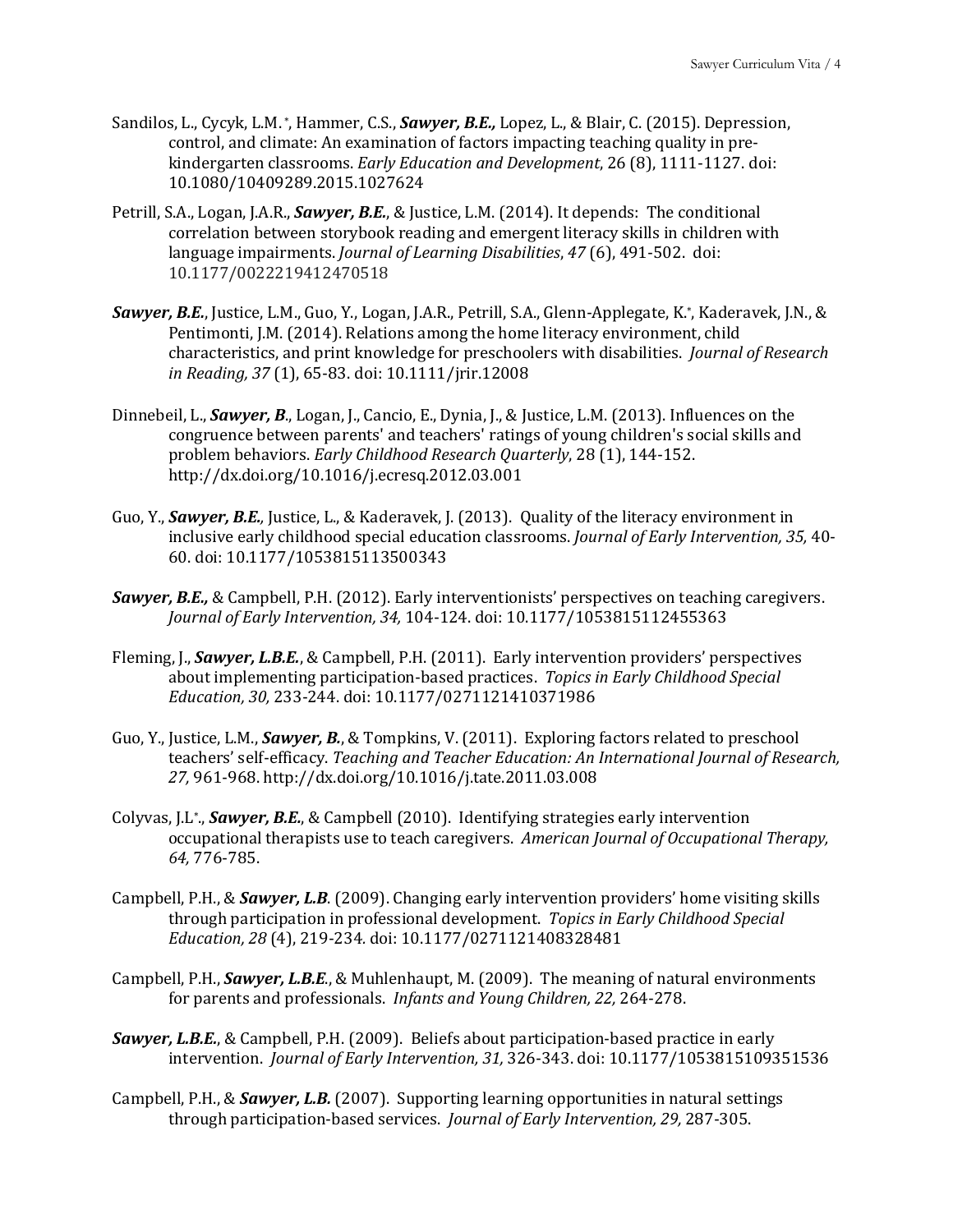- Sandilos, L., Cycyk, L.M. \*, Hammer, C.S., *Sawyer, B.E.*, Lopez, L., & Blair, C. (2015). Depression, control, and climate: An examination of factors impacting teaching quality in prekindergarten classrooms. *Early Education and Development*, 26 (8), 1111-1127. doi: 10.1080/10409289.2015.1027624
- Petrill, S.A., Logan, J.A.R., *Sawyer, B.E.*, & Justice, L.M. (2014). It depends: The conditional correlation between storybook reading and emergent literacy skills in children with language impairments. *Journal of Learning Disabilities*, 47 (6), 491-502. doi: 10.1177/0022219412470518
- **Sawyer, B.E.**, Justice, L.M., Guo, Y., Logan, J.A.R., Petrill, S.A., Glenn-Applegate, K.\*, Kaderavek, J.N., & Pentimonti, J.M. (2014). Relations among the home literacy environment, child characteristics, and print knowledge for preschoolers with disabilities. *Journal of Research in Reading, 37* (1), 65-83. doi: 10.1111/jrir.12008
- Dinnebeil, L., *Sawyer, B.*, Logan, J., Cancio, E., Dynia, J., & Justice, L.M. (2013). Influences on the congruence between parents' and teachers' ratings of young children's social skills and problem behaviors. *Early Childhood Research Quarterly*, 28 (1), 144-152. http://dx.doi.org/10.1016/j.ecresq.2012.03.001
- Guo, Y., **Sawyer, B.E.**, Justice, L., & Kaderavek, J. (2013). Quality of the literacy environment in inclusive early childhood special education classrooms. *Journal of Early Intervention*, 35, 40-60. doi: 10.1177/1053815113500343
- **Sawyer, B.E.,** & Campbell, P.H. (2012). Early interventionists' perspectives on teaching caregivers. *Journal of Early Intervention, 34, 104-124. doi: 10.1177/1053815112455363*
- Fleming, J., **Sawyer, L.B.E.**, & Campbell, P.H. (2011). Early intervention providers' perspectives about implementing participation-based practices. Topics in Early Childhood Special *Education, 30,* 233-244. doi: 10.1177/0271121410371986
- Guo, Y., Justice, L.M., *Sawyer, B.*, & Tompkins, V. (2011). Exploring factors related to preschool teachers' self-efficacy. *Teaching and Teacher Education: An International Journal of Research, 27,* 961-968. http://dx.doi.org/10.1016/j.tate.2011.03.008
- Colyvas, J.L<sup>\*</sup>., *Sawyer, B.E.*, & Campbell (2010). Identifying strategies early intervention occupational therapists use to teach caregivers. American Journal of Occupational Therapy, *64,* 776-785.
- Campbell, P.H., & **Sawyer, L.B**. (2009). Changing early intervention providers' home visiting skills through participation in professional development. *Topics in Early Childhood Special Education, 28* (4), 219-234*.* doi: 10.1177/0271121408328481
- Campbell, P.H., *Sawyer, L.B.E.*, & Muhlenhaupt, M. (2009). The meaning of natural environments for parents and professionals. *Infants and Young Children, 22, 264-278.*
- **Sawyer, L.B.E.,** & Campbell, P.H. (2009). Beliefs about participation-based practice in early intervention. *Journal of Early Intervention, 31,* 326-343. doi: 10.1177/1053815109351536
- Campbell, P.H., & *Sawyer, L.B.* (2007). Supporting learning opportunities in natural settings through participation-based services. *Journal of Early Intervention, 29, 287-305*.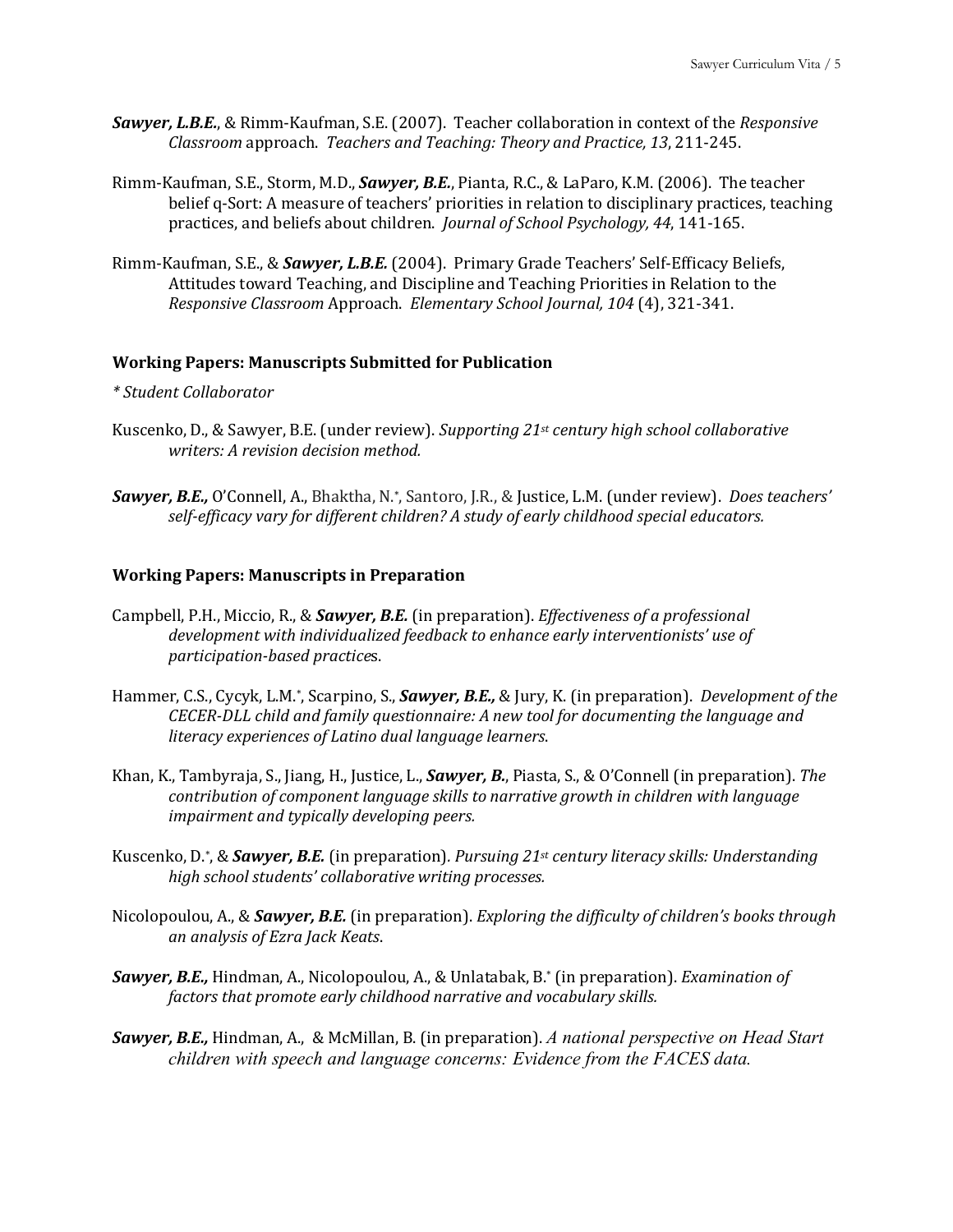- **Sawyer, L.B.E.**, & Rimm-Kaufman, S.E. (2007). Teacher collaboration in context of the *Responsive Classroom* approach. *Teachers and Teaching: Theory and Practice, 13*, 211-245.
- Rimm-Kaufman, S.E., Storm, M.D., *Sawyer, B.E.*, Pianta, R.C., & LaParo, K.M. (2006). The teacher belief q-Sort: A measure of teachers' priorities in relation to disciplinary practices, teaching practices, and beliefs about children. *Journal of School Psychology, 44*, 141-165.
- Rimm-Kaufman, S.E., & **Sawyer, L.B.E.** (2004). Primary Grade Teachers' Self-Efficacy Beliefs, Attitudes toward Teaching, and Discipline and Teaching Priorities in Relation to the *Responsive Classroom* Approach. *Elementary School Journal, 104* (4), 321-341.

### **Working Papers: Manuscripts Submitted for Publication**

#### *\* Student Collaborator*

- Kuscenko, D., & Sawyer, B.E. (under review). *Supporting 21<sup>st</sup>* century *high school collaborative writers: A revision decision method.*
- **Sawyer, B.E.,** O'Connell, A., Bhaktha, N.\*, Santoro, J.R., & Justice, L.M. (under review). *Does teachers'* self-efficacy vary for different children? A study of early childhood special educators.

#### **Working Papers: Manuscripts in Preparation**

- Campbell, P.H., Miccio, R., & **Sawyer, B.E.** (in preparation). *Effectiveness of a professional* development with individualized feedback to enhance early interventionists' use of *participation-based practice*s.
- Hammer, C.S., Cycyk, L.M.<sup>\*</sup>, Scarpino, S., *Sawyer, B.E.***,** & Jury, K. (in preparation). *Development of the CECER-DLL* child and family questionnaire: A new tool for documenting the language and *literacy experiences of Latino dual language learners*.
- Khan, K., Tambyraja, S., Jiang, H., Justice, L., **Sawyer, B.**, Piasta, S., & O'Connell (in preparation). *The contribution of component language skills to narrative growth in children with language impairment and typically developing peers.*
- Kuscenko, D.\*, & *Sawyer, B.E.* (in preparation). *Pursuing* 21<sup>st</sup> *century literacy skills: Understanding high school students' collaborative writing processes.*
- Nicolopoulou, A., & **Sawyer, B.E.** (in preparation). *Exploring the difficulty of children's books through an analysis of Ezra Jack Keats*.
- **Sawyer, B.E.,** Hindman, A., Nicolopoulou, A., & Unlatabak, B.\* (in preparation). *Examination of factors that promote early childhood narrative and vocabulary skills.*
- **Sawyer, B.E.,** Hindman, A., & McMillan, B. (in preparation). A national perspective on Head Start *children with speech and language concerns: Evidence from the FACES data.*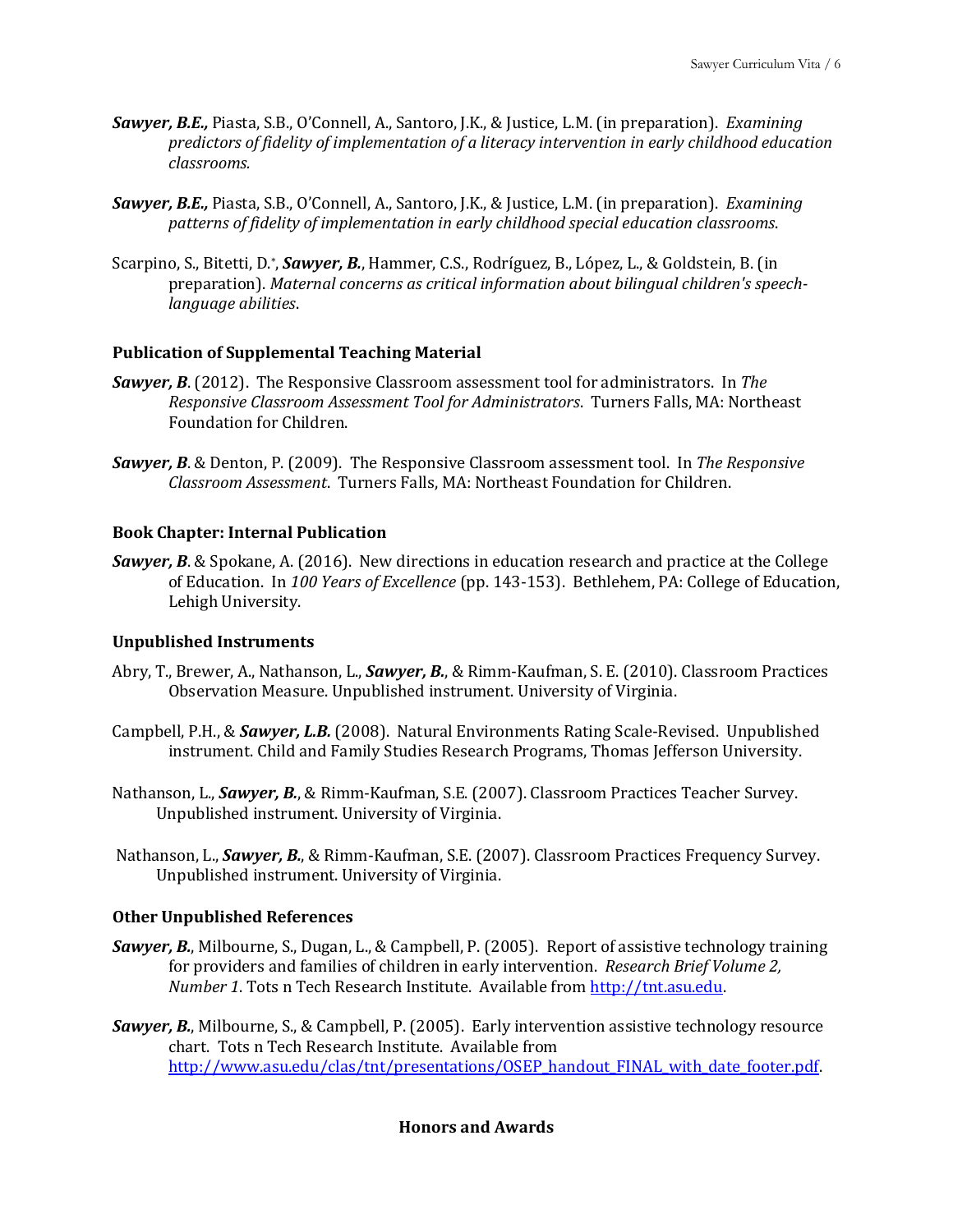- **Sawyer, B.E.,** Piasta, S.B., O'Connell, A., Santoro, J.K., & Justice, L.M. (in preparation). *Examining predictors of fidelity of implementation of a literacy intervention in early childhood education classrooms.*
- **Sawyer, B.E.,** Piasta, S.B., O'Connell, A., Santoro, J.K., & Justice, L.M. (in preparation). *Examining* patterns of fidelity of implementation in early childhood special education classrooms.
- Scarpino, S., Bitetti, D.\*, *Sawyer, B.*, Hammer, C.S., Rodríguez, B., López, L., & Goldstein, B. (in preparation). Maternal concerns as critical information about bilingual children's speech*language abilities*.

#### **Publication of Supplemental Teaching Material**

- **Sawyer, B.** (2012). The Responsive Classroom assessment tool for administrators. In *The Responsive Classroom Assessment Tool for Administrators*. Turners Falls, MA: Northeast Foundation for Children.
- **Sawyer, B.** & Denton, P. (2009). The Responsive Classroom assessment tool. In *The Responsive Classroom Assessment*. Turners Falls, MA: Northeast Foundation for Children.

#### **Book Chapter: Internal Publication**

**Sawyer, B.** & Spokane, A. (2016). New directions in education research and practice at the College of Education. In 100 Years of Excellence (pp. 143-153). Bethlehem, PA: College of Education, Lehigh University.

#### **Unpublished Instruments**

- Abry, T., Brewer, A., Nathanson, L., *Sawyer, B.*, & Rimm-Kaufman, S. E. (2010). Classroom Practices Observation Measure. Unpublished instrument. University of Virginia.
- Campbell, P.H., & **Sawyer, L.B.** (2008). Natural Environments Rating Scale-Revised. Unpublished instrument. Child and Family Studies Research Programs, Thomas Jefferson University.
- Nathanson, L., **Sawyer, B.**, & Rimm-Kaufman, S.E. (2007). Classroom Practices Teacher Survey. Unpublished instrument. University of Virginia.
- Nathanson, L., **Sawyer, B.**, & Rimm-Kaufman, S.E. (2007). Classroom Practices Frequency Survey. Unpublished instrument. University of Virginia.

#### **Other Unpublished References**

- **Sawyer, B.**, Milbourne, S., Dugan, L., & Campbell, P. (2005). Report of assistive technology training for providers and families of children in early intervention. Research Brief Volume 2, *Number 1*. Tots n Tech Research Institute. Available from http://tnt.asu.edu.
- **Sawyer, B.**, Milbourne, S., & Campbell, P. (2005). Early intervention assistive technology resource chart. Tots n Tech Research Institute. Available from http://www.asu.edu/clas/tnt/presentations/OSEP\_handout\_FINAL\_with\_date\_footer.pdf

# **Honors and Awards**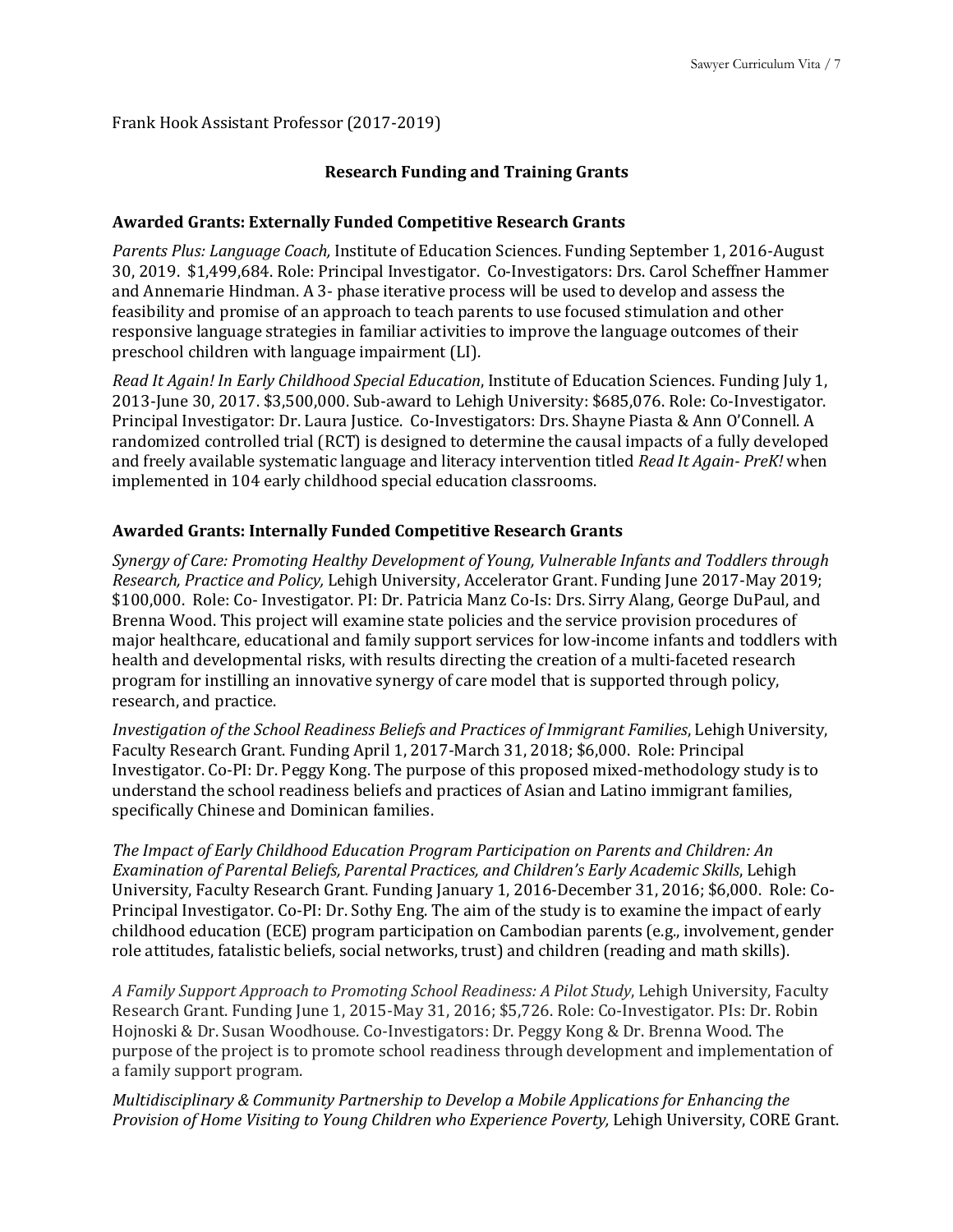Frank Hook Assistant Professor (2017-2019)

# **Research Funding and Training Grants**

# **Awarded Grants: Externally Funded Competitive Research Grants**

*Parents Plus: Language Coach,* Institute of Education Sciences. Funding September 1, 2016-August 30, 2019. \$1,499,684. Role: Principal Investigator. Co-Investigators: Drs. Carol Scheffner Hammer and Annemarie Hindman. A 3- phase iterative process will be used to develop and assess the feasibility and promise of an approach to teach parents to use focused stimulation and other responsive language strategies in familiar activities to improve the language outcomes of their preschool children with language impairment (LI).

*Read It Again! In Early Childhood Special Education*, Institute of Education Sciences. Funding July 1, 2013-June 30, 2017. \$3,500,000. Sub-award to Lehigh University: \$685,076. Role: Co-Investigator. Principal Investigator: Dr. Laura Justice. Co-Investigators: Drs. Shayne Piasta & Ann O'Connell. A randomized controlled trial (RCT) is designed to determine the causal impacts of a fully developed and freely available systematic language and literacy intervention titled *Read It Again- PreK!* when implemented in 104 early childhood special education classrooms.

# **Awarded Grants: Internally Funded Competitive Research Grants**

*Synergy of Care: Promoting Healthy Development of Young, Vulnerable Infants and Toddlers through Research, Practice and Policy, Lehigh University, Accelerator Grant. Funding June 2017-May 2019;* \$100,000. Role: Co- Investigator. PI: Dr. Patricia Manz Co-Is: Drs. Sirry Alang, George DuPaul, and Brenna Wood. This project will examine state policies and the service provision procedures of major healthcare, educational and family support services for low-income infants and toddlers with health and developmental risks, with results directing the creation of a multi-faceted research program for instilling an innovative synergy of care model that is supported through policy, research, and practice.

*Investigation of the School Readiness Beliefs and Practices of Immigrant Families, Lehigh University,* Faculty Research Grant. Funding April 1, 2017-March 31, 2018; \$6,000. Role: Principal Investigator. Co-PI: Dr. Peggy Kong. The purpose of this proposed mixed-methodology study is to understand the school readiness beliefs and practices of Asian and Latino immigrant families, specifically Chinese and Dominican families.

*The Impact of Early Childhood Education Program Participation on Parents and Children: An* Examination of Parental Beliefs, Parental Practices, and Children's Early Academic Skills, Lehigh University, Faculty Research Grant. Funding January 1, 2016-December 31, 2016; \$6,000. Role: Co-Principal Investigator. Co-PI: Dr. Sothy Eng. The aim of the study is to examine the impact of early childhood education (ECE) program participation on Cambodian parents (e.g., involvement, gender role attitudes, fatalistic beliefs, social networks, trust) and children (reading and math skills).

A Family Support Approach to Promoting School Readiness: A Pilot Study, Lehigh University, Faculty Research Grant. Funding June 1, 2015-May 31, 2016; \$5,726. Role: Co-Investigator. Pls: Dr. Robin Hojnoski & Dr. Susan Woodhouse. Co-Investigators: Dr. Peggy Kong & Dr. Brenna Wood. The purpose of the project is to promote school readiness through development and implementation of a family support program.

*Multidisciplinary & Community Partnership to Develop a Mobile Applications for Enhancing the Provision of Home Visiting to Young Children who Experience Poverty, Lehigh University, CORE Grant.*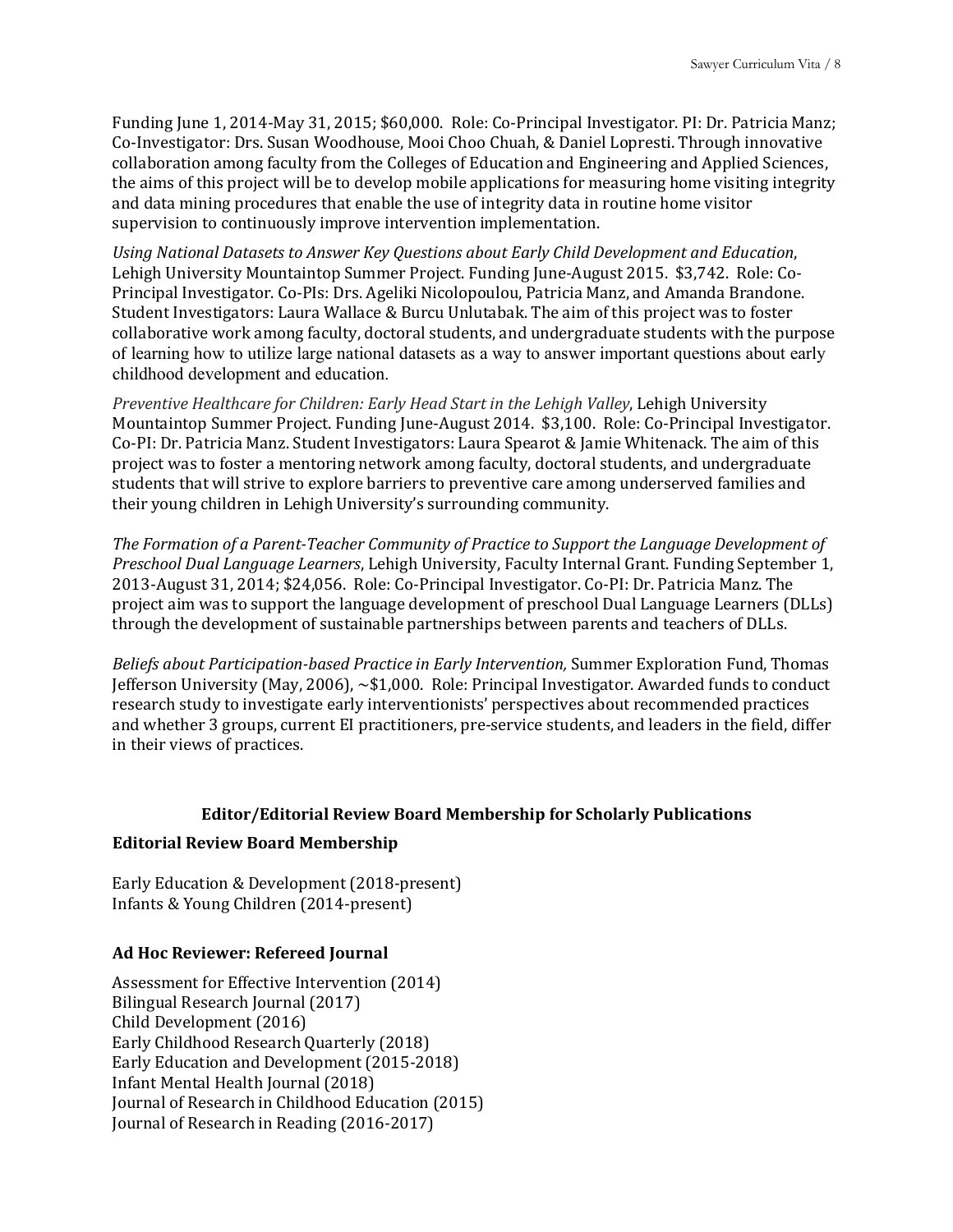Funding June 1, 2014-May 31, 2015; \$60,000. Role: Co-Principal Investigator. PI: Dr. Patricia Manz; Co-Investigator: Drs. Susan Woodhouse, Mooi Choo Chuah, & Daniel Lopresti. Through innovative collaboration among faculty from the Colleges of Education and Engineering and Applied Sciences, the aims of this project will be to develop mobile applications for measuring home visiting integrity and data mining procedures that enable the use of integrity data in routine home visitor supervision to continuously improve intervention implementation.

Using National Datasets to Answer Key Questions about Early Child Development and Education, Lehigh University Mountaintop Summer Project. Funding June-August 2015. \$3,742. Role: Co-Principal Investigator. Co-PIs: Drs. Ageliki Nicolopoulou, Patricia Manz, and Amanda Brandone. Student Investigators: Laura Wallace & Burcu Unlutabak. The aim of this project was to foster collaborative work among faculty, doctoral students, and undergraduate students with the purpose of learning how to utilize large national datasets as a way to answer important questions about early childhood development and education.

*Preventive Healthcare for Children: Early Head Start in the Lehigh Valley*, Lehigh University Mountaintop Summer Project. Funding June-August 2014. \$3,100. Role: Co-Principal Investigator. Co-PI: Dr. Patricia Manz. Student Investigators: Laura Spearot & Jamie Whitenack. The aim of this project was to foster a mentoring network among faculty, doctoral students, and undergraduate students that will strive to explore barriers to preventive care among underserved families and their young children in Lehigh University's surrounding community.

The Formation of a Parent-Teacher Community of Practice to Support the Language Development of *Preschool Dual Language Learners*, Lehigh University, Faculty Internal Grant. Funding September 1, 2013-August 31, 2014; \$24,056. Role: Co-Principal Investigator. Co-PI: Dr. Patricia Manz. The project aim was to support the language development of preschool Dual Language Learners (DLLs) through the development of sustainable partnerships between parents and teachers of DLLs.

*Beliefs about Participation-based Practice in Early Intervention,* Summer Exploration Fund, Thomas Jefferson University (May, 2006),  $\sim$ \$1,000. Role: Principal Investigator. Awarded funds to conduct research study to investigate early interventionists' perspectives about recommended practices and whether 3 groups, current EI practitioners, pre-service students, and leaders in the field, differ in their views of practices.

#### **Editor/Editorial Review Board Membership for Scholarly Publications**

#### **Editorial Review Board Membership**

Early Education & Development (2018-present) Infants & Young Children (2014-present)

## **Ad Hoc Reviewer: Refereed Journal**

Assessment for Effective Intervention (2014) Bilingual Research Journal (2017) Child Development (2016) Early Childhood Research Quarterly (2018) Early Education and Development (2015-2018) Infant Mental Health Journal (2018) Journal of Research in Childhood Education (2015) Journal of Research in Reading (2016-2017)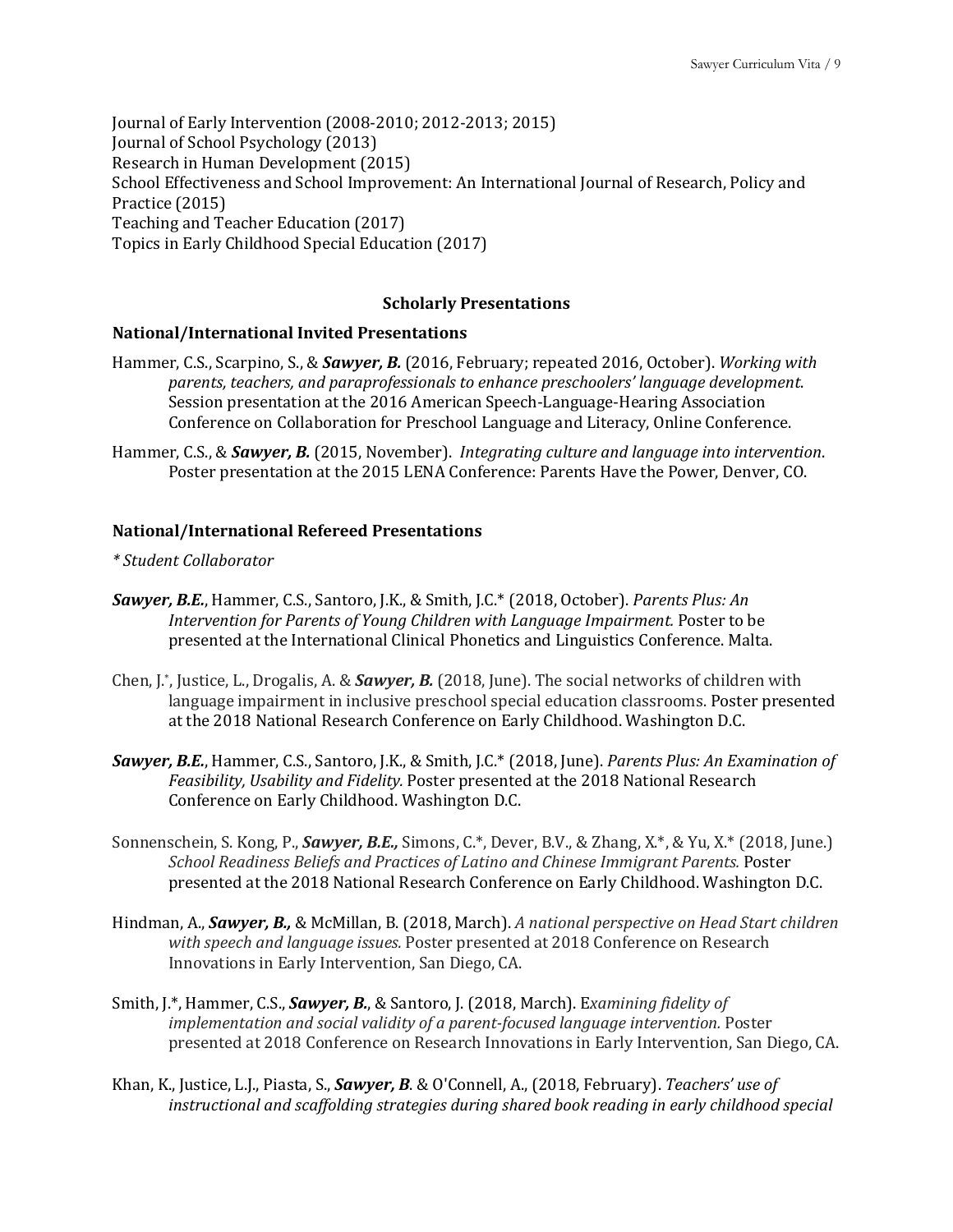Journal of Early Intervention (2008-2010; 2012-2013; 2015) Journal of School Psychology (2013) Research in Human Development (2015) School Effectiveness and School Improvement: An International Journal of Research, Policy and Practice (2015) Teaching and Teacher Education (2017) Topics in Early Childhood Special Education (2017)

# **Scholarly Presentations**

#### **National/International Invited Presentations**

- Hammer, C.S., Scarpino, S., & **Sawyer, B.** (2016, February; repeated 2016, October). *Working with parents, teachers, and paraprofessionals to enhance preschoolers' language development*. Session presentation at the 2016 American Speech-Language-Hearing Association Conference on Collaboration for Preschool Language and Literacy, Online Conference.
- Hammer, C.S., & *Sawyer, B.* (2015, November). *Integrating culture and language into intervention.* Poster presentation at the 2015 LENA Conference: Parents Have the Power, Denver, CO.

## **National/International Refereed Presentations**

- *\* Student Collaborator*
- **Sawyer, B.E.**, Hammer, C.S., Santoro, J.K., & Smith, J.C.\* (2018, October). *Parents Plus: An Intervention for Parents of Young Children with Language Impairment.* Poster to be presented at the International Clinical Phonetics and Linguistics Conference. Malta.
- Chen, J.\*, Justice, L., Drogalis, A. & *Sawyer, B.* (2018, June). The social networks of children with language impairment in inclusive preschool special education classrooms. Poster presented at the 2018 National Research Conference on Early Childhood. Washington D.C.
- **Sawyer, B.E.**, Hammer, C.S., Santoro, J.K., & Smith, J.C.\* (2018, June). *Parents Plus: An Examination of* Feasibility, Usability and Fidelity. Poster presented at the 2018 National Research Conference on Early Childhood. Washington D.C.
- Sonnenschein, S. Kong, P., *Sawyer, B.E.*, Simons, C.\*, Dever, B.V., & Zhang, X.\*, & Yu, X.\* (2018, June.) School Readiness Beliefs and Practices of Latino and Chinese Immigrant Parents. Poster presented at the 2018 National Research Conference on Early Childhood. Washington D.C.
- Hindman, A., *Sawyer, B., &* McMillan, B. (2018, March). A national perspective on Head Start children *with speech and language issues.* Poster presented at 2018 Conference on Research Innovations in Early Intervention, San Diego, CA.
- Smith, J.\*, Hammer, C.S., *Sawyer, B.*, & Santoro, J. (2018, March). Examining fidelity of *implementation and social validity of a parent-focused language intervention.* Poster presented at 2018 Conference on Research Innovations in Early Intervention, San Diego, CA.
- Khan, K., Justice, L.J., Piasta, S., *Sawyer, B. & O'Connell, A., (2018, February). Teachers' use of instructional and scaffolding strategies during shared book reading in early childhood special*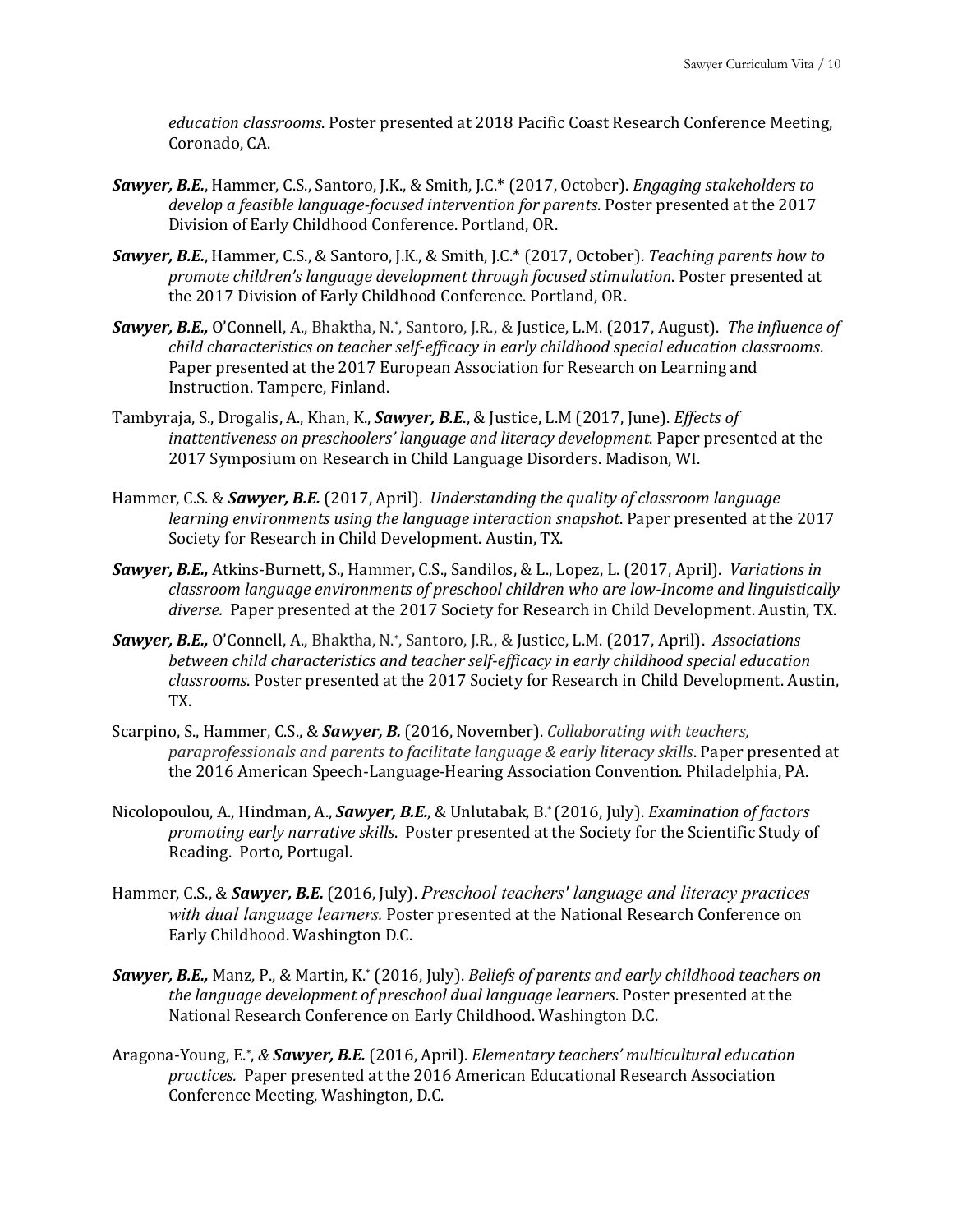*education classrooms*. Poster presented at 2018 Pacific Coast Research Conference Meeting, Coronado, CA.

- Sawyer, B.E., Hammer, C.S., Santoro, J.K., & Smith, J.C.\* (2017, October). *Engaging stakeholders to* develop a feasible language-focused intervention for parents. Poster presented at the 2017 Division of Early Childhood Conference. Portland, OR.
- **Sawyer, B.E.**, Hammer, C.S., & Santoro, J.K., & Smith, J.C.\* (2017, October). *Teaching parents how to promote children's language development through focused stimulation*. Poster presented at the 2017 Division of Early Childhood Conference. Portland, OR.
- **Sawyer, B.E.,** O'Connell, A., Bhaktha, N.\*, Santoro, J.R., & Justice, L.M. (2017, August). *The influence of child characteristics on teacher self-efficacy in early childhood special education classrooms*. Paper presented at the 2017 European Association for Research on Learning and Instruction. Tampere, Finland.
- Tambyraja, S., Drogalis, A., Khan, K., *Sawyer, B.E.*, & Justice, L.M (2017, June). *Effects of inattentiveness on preschoolers' language and literacy development*. Paper presented at the 2017 Symposium on Research in Child Language Disorders. Madison, WI.
- Hammer, C.S. & *Sawyer, B.E.* (2017, April). *Understanding the quality of classroom language learning environments using the language interaction snapshot.* Paper presented at the 2017 Society for Research in Child Development. Austin, TX.
- **Sawyer, B.E.,** Atkins-Burnett, S., Hammer, C.S., Sandilos, & L., Lopez, L. (2017, April). *Variations in* classroom language environments of preschool children who are low-Income and linguistically *diverse.* Paper presented at the 2017 Society for Research in Child Development. Austin, TX.
- Sawyer, B.E., O'Connell, A., Bhaktha, N.\*, Santoro, J.R., & Justice, L.M. (2017, April). Associations *between child characteristics* and *teacher self-efficacy in early childhood special education* classrooms. Poster presented at the 2017 Society for Research in Child Development. Austin, TX.
- Scarpino, S., Hammer, C.S., & **Sawyer, B.** (2016, November). *Collaborating with teachers, paraprofessionals and parents to facilitate language & early literacy skills.* Paper presented at the 2016 American Speech-Language-Hearing Association Convention. Philadelphia, PA.
- Nicolopoulou, A., Hindman, A., *Sawyer, B.E.*, & Unlutabak, B.\* (2016, July). *Examination of factors promoting early narrative skills.* Poster presented at the Society for the Scientific Study of Reading. Porto, Portugal.
- Hammer, C.S., & **Sawyer, B.E.** (2016, July). *Preschool teachers' language and literacy practices with dual language learners*. Poster presented at the National Research Conference on Early Childhood. Washington D.C.
- Sawyer, B.E., Manz, P., & Martin, K.\* (2016, July). *Beliefs of parents and early childhood teachers on the language development of preschool dual language learners*. Poster presented at the National Research Conference on Early Childhood. Washington D.C.
- Aragona-Young, E.\*, & **Sawyer, B.E.** (2016, April). *Elementary teachers' multicultural education practices.* Paper presented at the 2016 American Educational Research Association Conference Meeting, Washington, D.C.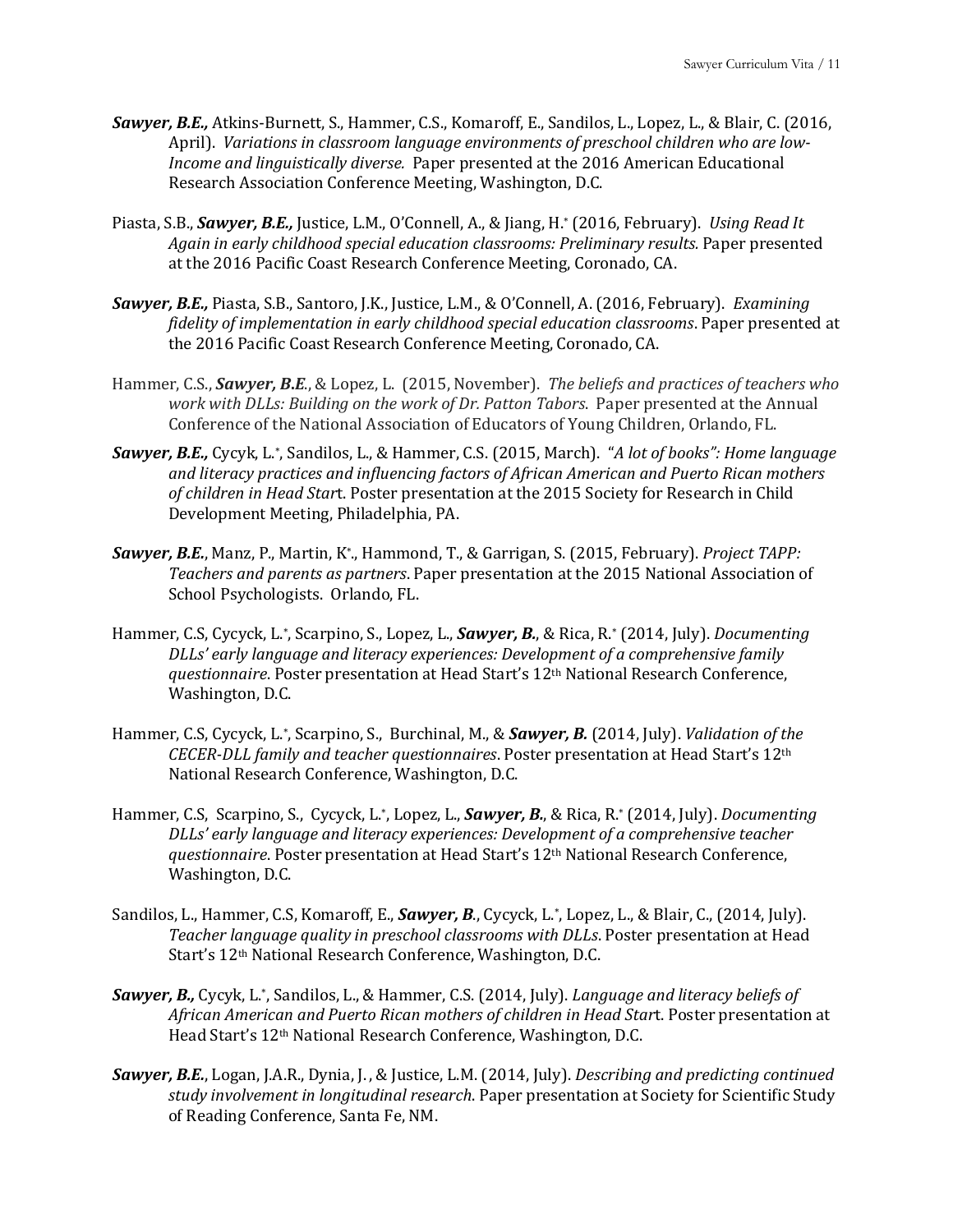- **Sawyer, B.E.,** Atkins-Burnett, S., Hammer, C.S., Komaroff, E., Sandilos, L., Lopez, L., & Blair, C. (2016, April). Variations in classroom language environments of preschool children who are low-*Income and linguistically diverse.* Paper presented at the 2016 American Educational Research Association Conference Meeting, Washington, D.C.
- Piasta, S.B., **Sawyer, B.E.,** Justice, L.M., O'Connell, A., & Jiang, H.\* (2016, February). *Using Read It* Again in early childhood special education classrooms: Preliminary results. Paper presented at the 2016 Pacific Coast Research Conference Meeting, Coronado, CA.
- **Sawyer, B.E.,** Piasta, S.B., Santoro, J.K., Justice, L.M., & O'Connell, A. (2016, February). *Examining fidelity of implementation in early childhood special education classrooms*. Paper presented at the 2016 Pacific Coast Research Conference Meeting, Coronado, CA.
- Hammer, C.S., *Sawyer, B.E.*, & Lopez, L. (2015, November). *The beliefs and practices of teachers who work with DLLs: Building on the work of Dr. Patton Tabors. Paper presented at the Annual* Conference of the National Association of Educators of Young Children, Orlando, FL.
- **Sawyer, B.E.,** Cycyk, L.\*, Sandilos, L., & Hammer, C.S. (2015, March). "A lot of books": Home language and literacy practices and influencing factors of African American and Puerto Rican mothers of children in Head Start. Poster presentation at the 2015 Society for Research in Child Development Meeting, Philadelphia, PA.
- **Sawyer, B.E.**, Manz, P., Martin, K\*., Hammond, T., & Garrigan, S. (2015, February). *Project TAPP:* Teachers and parents as partners. Paper presentation at the 2015 National Association of School Psychologists. Orlando, FL.
- Hammer, C.S, Cycyck, L.\*, Scarpino, S., Lopez, L., *Sawyer, B.*, & Rica, R.\* (2014, July). *Documenting DLLs'* early language and literacy experiences: Development of a comprehensive family *questionnaire*. Poster presentation at Head Start's 12<sup>th</sup> National Research Conference, Washington, D.C.
- Hammer, C.S, Cycyck, L.\*, Scarpino, S., Burchinal, M., & **Sawyer, B.** (2014, July). *Validation of the CECER-DLL family and teacher questionnaires*. Poster presentation at Head Start's 12<sup>th</sup> National Research Conference, Washington, D.C.
- Hammer, C.S, Scarpino, S., Cycyck, L.\*, Lopez, L., *Sawyer, B.*, & Rica, R.\* (2014, July). *Documenting DLLs'* early language and literacy experiences: Development of a comprehensive teacher *questionnaire*. Poster presentation at Head Start's 12<sup>th</sup> National Research Conference, Washington, D.C.
- Sandilos, L., Hammer, C.S, Komaroff, E., *Sawyer, B.*, Cycyck, L.\*, Lopez, L., & Blair, C., (2014, July). Teacher language quality in preschool classrooms with DLLs. Poster presentation at Head Start's 12<sup>th</sup> National Research Conference, Washington, D.C.
- Sawyer, B., Cycyk, L.\*, Sandilos, L., & Hammer, C.S. (2014, July). *Language and literacy beliefs of* African American and Puerto Rican mothers of children in Head Start. Poster presentation at Head Start's 12<sup>th</sup> National Research Conference, Washington, D.C.
- **Sawyer, B.E.**, Logan, J.A.R., Dynia, J., & Justice, L.M. (2014, July). *Describing and predicting continued* study *involvement in longitudinal research*. Paper presentation at Society for Scientific Study of Reading Conference, Santa Fe, NM.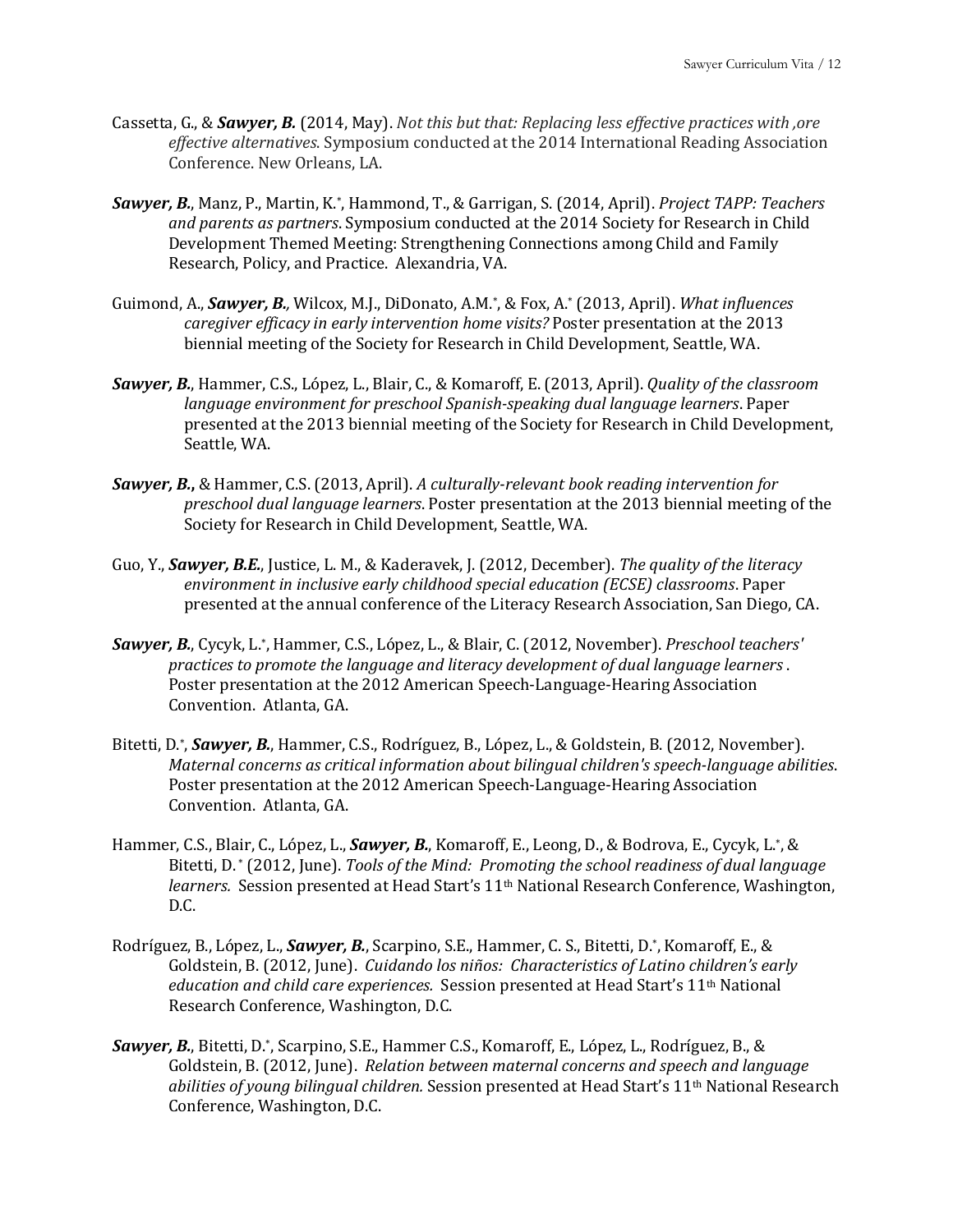- Cassetta, G., & **Sawyer, B.** (2014, May). *Not this but that: Replacing less effective practices with ,ore* effective alternatives. Symposium conducted at the 2014 International Reading Association Conference. New Orleans, LA.
- Sawyer, B., Manz, P., Martin, K.\*, Hammond, T., & Garrigan, S. (2014, April). *Project TAPP: Teachers* and parents as partners. Symposium conducted at the 2014 Society for Research in Child Development Themed Meeting: Strengthening Connections among Child and Family Research, Policy, and Practice. Alexandria, VA.
- Guimond, A., *Sawyer, B.*, Wilcox, M.J., DiDonato, A.M.\*, & Fox, A.\* (2013, April). *What influences caregiver efficacy in early intervention home visits?* Poster presentation at the 2013 biennial meeting of the Society for Research in Child Development, Seattle, WA.
- Sawyer, B., Hammer, C.S., López, L., Blair, C., & Komaroff, E. (2013, April). *Quality of the classroom language environment for preschool Spanish-speaking dual language learners.* Paper presented at the 2013 biennial meeting of the Society for Research in Child Development, Seattle, WA.
- **Sawyer, B.**, & Hammer, C.S. (2013, April). A culturally-relevant book reading intervention for *preschool dual language learners*. Poster presentation at the 2013 biennial meeting of the Society for Research in Child Development, Seattle, WA.
- Guo, Y., **Sawyer, B.E.**, Justice, L. M., & Kaderavek, J. (2012, December). The quality of the literacy *environment in inclusive early childhood special education (ECSE) classrooms.* Paper presented at the annual conference of the Literacy Research Association, San Diego, CA.
- Sawyer, B., Cycyk, L.\*, Hammer, C.S., López, L., & Blair, C. (2012, November). *Preschool teachers' practices to promote the language and literacy development of dual language learners.* Poster presentation at the 2012 American Speech-Language-Hearing Association Convention. Atlanta, GA.
- Bitetti, D.\*, *Sawyer, B.*, Hammer, C.S., Rodríguez, B., López, L., & Goldstein, B. (2012, November). *Maternal concerns as critical information about bilingual children's speech-language abilities.* Poster presentation at the 2012 American Speech-Language-Hearing Association Convention. Atlanta, GA.
- Hammer, C.S., Blair, C., López, L., *Sawyer, B.*, Komaroff, E., Leong, D., & Bodrova, E., Cycyk, L.\*, & Bitetti, D.\* (2012, June). *Tools of the Mind: Promoting the school readiness of dual language* learners. Session presented at Head Start's 11<sup>th</sup> National Research Conference, Washington, D.C.
- Rodríguez, B., López, L., *Sawyer, B.*, Scarpino, S.E., Hammer, C. S., Bitetti, D.\*, Komaroff, E., & Goldstein, B. (2012, June). *Cuidando los niños: Characteristics of Latino children's early education and child care experiences.* Session presented at Head Start's 11<sup>th</sup> National Research Conference, Washington, D.C.
- **Sawyer, B.**, Bitetti, D.\*, Scarpino, S.E., Hammer C.S., Komaroff, E., López, L., Rodríguez, B., & Goldstein, B. (2012, June). *Relation between maternal concerns and speech and language* abilities of young bilingual children. Session presented at Head Start's 11<sup>th</sup> National Research Conference, Washington, D.C.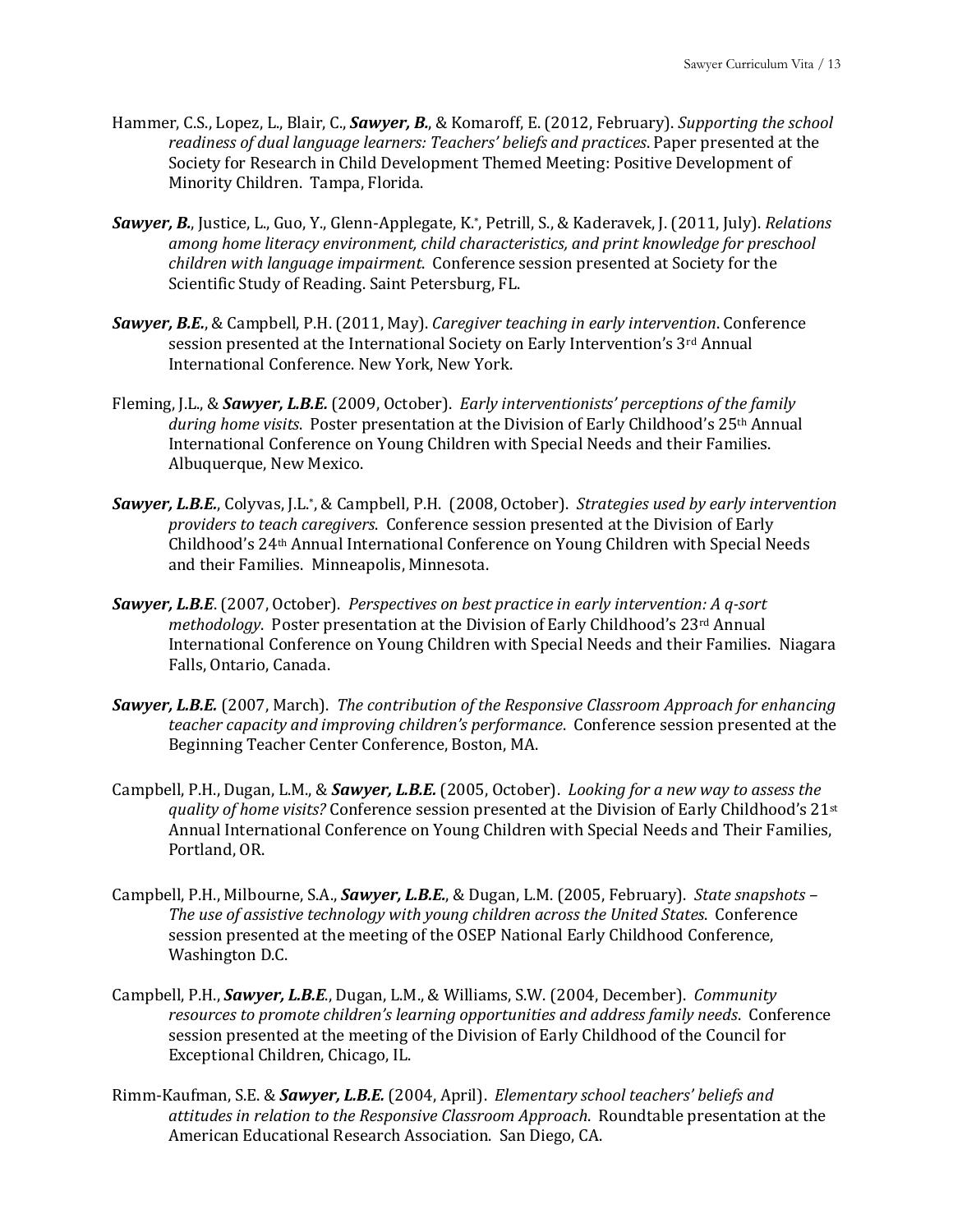- Hammer, C.S., Lopez, L., Blair, C., *Sawyer, B.*, & Komaroff, E. (2012, February). *Supporting the school* readiness of dual language learners: Teachers' beliefs and practices. Paper presented at the Society for Research in Child Development Themed Meeting: Positive Development of Minority Children. Tampa, Florida.
- *Sawyer, B.*, Justice, L., Guo, Y., Glenn-Applegate, K.\*, Petrill, S., & Kaderavek, J. (2011, July). *Relations* among home literacy environment, child characteristics, and print knowledge for preschool *children* with *language impairment*. Conference session presented at Society for the Scientific Study of Reading. Saint Petersburg, FL.
- **Sawyer, B.E.**, & Campbell, P.H. (2011, May). *Caregiver teaching in early intervention*. Conference session presented at the International Society on Early Intervention's  $3<sup>rd</sup>$  Annual International Conference. New York, New York.
- Fleming, J.L., & *Sawyer, L.B.E.* (2009, October). *Early interventionists' perceptions of the family* during home visits. Poster presentation at the Division of Early Childhood's 25<sup>th</sup> Annual International Conference on Young Children with Special Needs and their Families. Albuquerque, New Mexico.
- *Sawyer, L.B.E.*, Colyvas, J.L.\*, & Campbell, P.H. (2008, October). Strategies used by early intervention *providers to teach caregivers.* Conference session presented at the Division of Early Childhood's 24<sup>th</sup> Annual International Conference on Young Children with Special Needs and their Families. Minneapolis, Minnesota.
- **Sawyer, L.B.E**. (2007, October). *Perspectives* on best practice in early intervention: A q-sort *methodology*. Poster presentation at the Division of Early Childhood's 23<sup>rd</sup> Annual International Conference on Young Children with Special Needs and their Families. Niagara Falls, Ontario, Canada.
- **Sawyer, L.B.E.** (2007, March). *The contribution of the Responsive Classroom Approach for enhancing teacher* capacity and *improving children's performance*. Conference session presented at the Beginning Teacher Center Conference, Boston, MA.
- Campbell, P.H., Dugan, L.M., & **Sawyer, L.B.E.** (2005, October). *Looking for a new way to assess the quality of home visits?* Conference session presented at the Division of Early Childhood's 21<sup>st</sup> Annual International Conference on Young Children with Special Needs and Their Families, Portland, OR.
- Campbell, P.H., Milbourne, S.A., *Sawyer, L.B.E.*, & Dugan, L.M. (2005, February). *State snapshots* The use of assistive technology with young children across the United States. Conference session presented at the meeting of the OSEP National Early Childhood Conference, Washington D.C.
- Campbell, P.H., *Sawyer, L.B.E.*, Dugan, L.M., & Williams, S.W. (2004, December). *Community resources to promote children's learning opportunities and address family needs.* Conference session presented at the meeting of the Division of Early Childhood of the Council for Exceptional Children, Chicago, IL.
- Rimm-Kaufman, S.E. & **Sawyer, L.B.E.** (2004, April). *Elementary school teachers' beliefs and attitudes in relation to the Responsive Classroom Approach.* Roundtable presentation at the American Educational Research Association. San Diego, CA.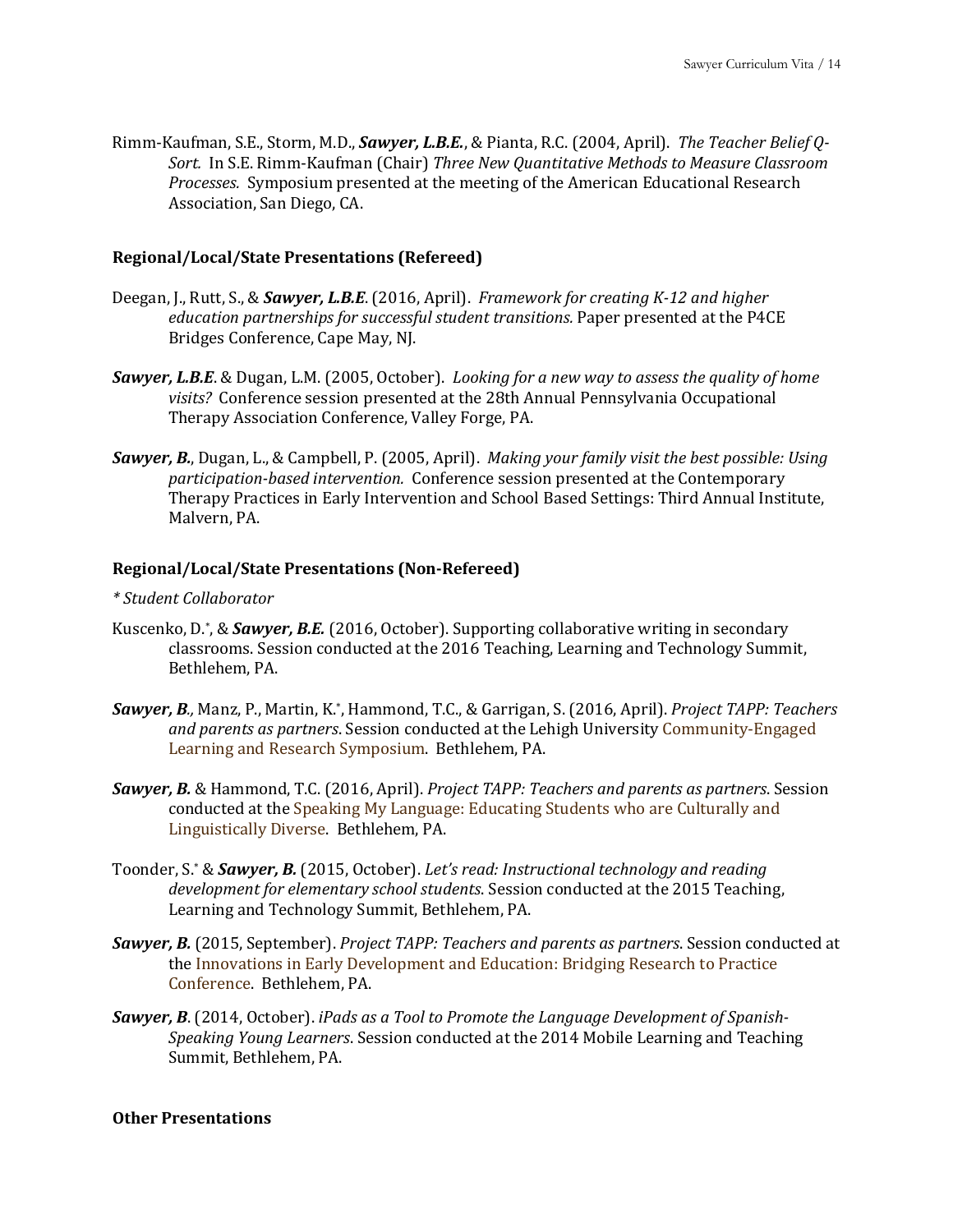Rimm-Kaufman, S.E., Storm, M.D., *Sawyer, L.B.E.*, & Pianta, R.C. (2004, April). *The Teacher Belief Q-*Sort. In S.E. Rimm-Kaufman (Chair) *Three New Quantitative Methods to Measure Classroom Processes.* Symposium presented at the meeting of the American Educational Research Association, San Diego, CA.

### **Regional/Local/State Presentations (Refereed)**

- Deegan, J., Rutt, S., & **Sawyer, L.B.E**. (2016, April). *Framework for creating K-12 and higher education partnerships for successful student transitions.* Paper presented at the P4CE Bridges Conference, Cape May, NJ.
- **Sawyer, L.B.E.** & Dugan, L.M. (2005, October). *Looking for a new way to assess the quality of home visits?* Conference session presented at the 28th Annual Pennsylvania Occupational Therapy Association Conference, Valley Forge, PA.
- *Sawyer, B.*, Dugan, L., & Campbell, P. (2005, April). *Making your family visit the best possible: Using* participation-based intervention. Conference session presented at the Contemporary Therapy Practices in Early Intervention and School Based Settings: Third Annual Institute, Malvern, PA.

# **Regional/Local/State Presentations (Non-Refereed)**

#### *\* Student Collaborator*

- Kuscenko, D.\*, & **Sawyer, B.E.** (2016, October). Supporting collaborative writing in secondary classrooms. Session conducted at the 2016 Teaching, Learning and Technology Summit, Bethlehem, PA.
- **Sawyer, B**., Manz, P., Martin, K.\*, Hammond, T.C., & Garrigan, S. (2016, April). *Project TAPP: Teachers* and parents as partners. Session conducted at the Lehigh University Community-Engaged Learning and Research Symposium. Bethlehem, PA.
- **Sawyer, B.** & Hammond, T.C. (2016, April). *Project TAPP: Teachers and parents as partners*. Session conducted at the Speaking My Language: Educating Students who are Culturally and Linguistically Diverse. Bethlehem, PA.
- Toonder, S.\* & **Sawyer, B.** (2015, October). Let's read: Instructional technology and reading development for elementary school students. Session conducted at the 2015 Teaching, Learning and Technology Summit, Bethlehem, PA.
- **Sawyer, B.** (2015, September). *Project TAPP: Teachers and parents as partners*. Session conducted at the Innovations in Early Development and Education: Bridging Research to Practice Conference. Bethlehem, PA.
- **Sawyer, B.** (2014, October). *iPads as a Tool to Promote the Language Development of Spanish-Speaking Young Learners*. Session conducted at the 2014 Mobile Learning and Teaching Summit, Bethlehem, PA.

#### **Other Presentations**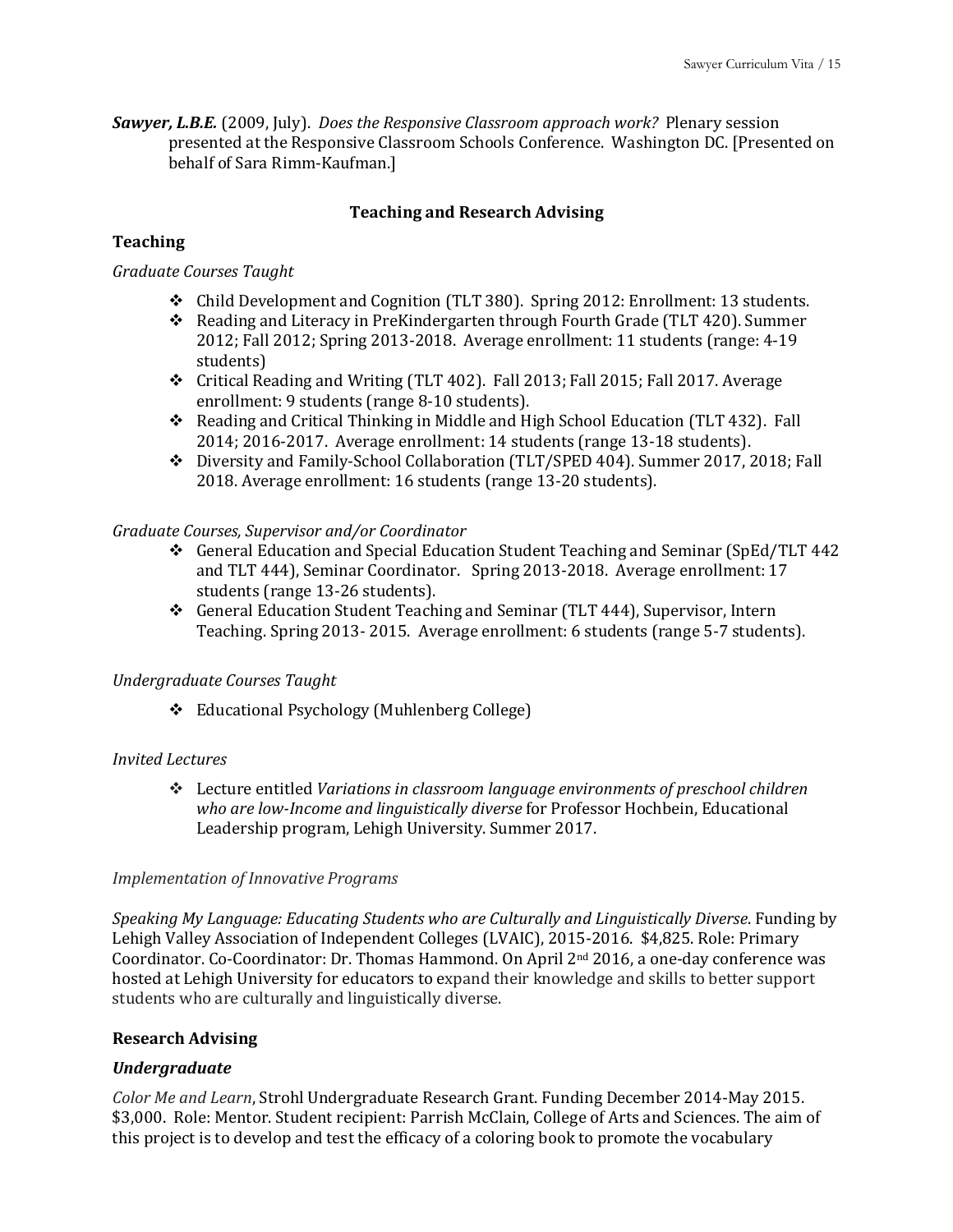**Sawyer, L.B.E.** (2009, July). *Does the Responsive Classroom approach work?* Plenary session presented at the Responsive Classroom Schools Conference. Washington DC. [Presented on behalf of Sara Rimm-Kaufman.]

# **Teaching and Research Advising**

# **Teaching**

# *Graduate Courses Taught*

- $\div$  Child Development and Cognition (TLT 380). Spring 2012: Enrollment: 13 students.
- Reading and Literacy in PreKindergarten through Fourth Grade (TLT 420). Summer 2012; Fall 2012; Spring 2013-2018. Average enrollment: 11 students (range: 4-19 students)
- ◆ Critical Reading and Writing (TLT 402). Fall 2013; Fall 2015; Fall 2017. Average enrollment: 9 students (range 8-10 students).
- $\cdot$  Reading and Critical Thinking in Middle and High School Education (TLT 432). Fall 2014; 2016-2017. Average enrollment: 14 students (range 13-18 students).
- \* Diversity and Family-School Collaboration (TLT/SPED 404). Summer 2017, 2018; Fall 2018. Average enrollment: 16 students (range 13-20 students).

## *Graduate Courses, Supervisor and/or Coordinator*

- $\div$  General Education and Special Education Student Teaching and Seminar (SpEd/TLT 442) and TLT 444), Seminar Coordinator. Spring 2013-2018. Average enrollment: 17 students (range 13-26 students).
- $\div$  General Education Student Teaching and Seminar (TLT 444), Supervisor, Intern Teaching. Spring 2013- 2015. Average enrollment: 6 students (range 5-7 students).

## *Undergraduate Courses Taught*

❖ Educational Psychology (Muhlenberg College)

## *Invited Lectures*

 $\dots$  Lecture entitled *Variations in classroom language environments of preschool children* who are low-Income and linguistically diverse for Professor Hochbein, Educational Leadership program, Lehigh University. Summer 2017.

## *Implementation of Innovative Programs*

Speaking My Language: Educating Students who are Culturally and Linguistically Diverse. Funding by Lehigh Valley Association of Independent Colleges (LVAIC), 2015-2016. \$4,825. Role: Primary Coordinator. Co-Coordinator: Dr. Thomas Hammond. On April 2<sup>nd</sup> 2016, a one-day conference was hosted at Lehigh University for educators to expand their knowledge and skills to better support students who are culturally and linguistically diverse.

## **Research Advising**

## *Undergraduate*

*Color Me and Learn*, Strohl Undergraduate Research Grant. Funding December 2014-May 2015. \$3,000. Role: Mentor. Student recipient: Parrish McClain, College of Arts and Sciences. The aim of this project is to develop and test the efficacy of a coloring book to promote the vocabulary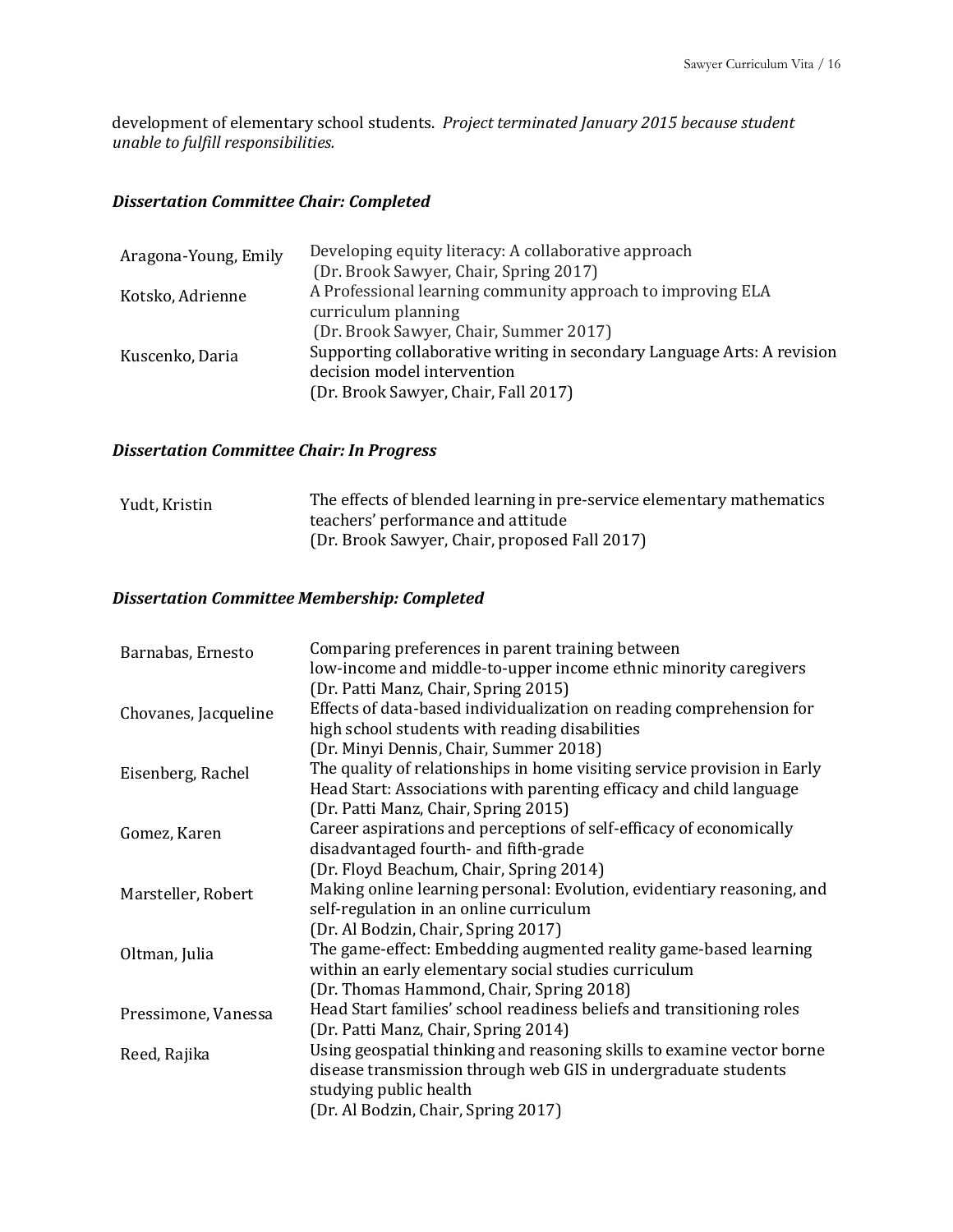development of elementary school students. Project terminated January 2015 because student *unable to fulfill responsibilities.*

# *Dissertation Committee Chair: Completed*

| Aragona-Young, Emily | Developing equity literacy: A collaborative approach                    |
|----------------------|-------------------------------------------------------------------------|
|                      | (Dr. Brook Sawyer, Chair, Spring 2017)                                  |
| Kotsko, Adrienne     | A Professional learning community approach to improving ELA             |
|                      | curriculum planning                                                     |
|                      | (Dr. Brook Sawyer, Chair, Summer 2017)                                  |
| Kuscenko, Daria      | Supporting collaborative writing in secondary Language Arts: A revision |
|                      | decision model intervention                                             |
|                      | (Dr. Brook Sawyer, Chair, Fall 2017)                                    |
|                      |                                                                         |

# *Dissertation Committee Chair: In Progress*

| Yudt, Kristin | The effects of blended learning in pre-service elementary mathematics |
|---------------|-----------------------------------------------------------------------|
|               | teachers' performance and attitude                                    |
|               | (Dr. Brook Sawyer, Chair, proposed Fall 2017)                         |

# *Dissertation Committee Membership: Completed*

| Barnabas, Ernesto    | Comparing preferences in parent training between                         |
|----------------------|--------------------------------------------------------------------------|
|                      | low-income and middle-to-upper income ethnic minority caregivers         |
|                      | (Dr. Patti Manz, Chair, Spring 2015)                                     |
| Chovanes, Jacqueline | Effects of data-based individualization on reading comprehension for     |
|                      | high school students with reading disabilities                           |
|                      | (Dr. Minyi Dennis, Chair, Summer 2018)                                   |
| Eisenberg, Rachel    | The quality of relationships in home visiting service provision in Early |
|                      | Head Start: Associations with parenting efficacy and child language      |
|                      | (Dr. Patti Manz, Chair, Spring 2015)                                     |
| Gomez, Karen         | Career aspirations and perceptions of self-efficacy of economically      |
|                      | disadvantaged fourth- and fifth-grade                                    |
|                      | (Dr. Floyd Beachum, Chair, Spring 2014)                                  |
| Marsteller, Robert   | Making online learning personal: Evolution, evidentiary reasoning, and   |
|                      | self-regulation in an online curriculum                                  |
|                      | (Dr. Al Bodzin, Chair, Spring 2017)                                      |
| Oltman, Julia        | The game-effect: Embedding augmented reality game-based learning         |
|                      | within an early elementary social studies curriculum                     |
|                      | (Dr. Thomas Hammond, Chair, Spring 2018)                                 |
| Pressimone, Vanessa  | Head Start families' school readiness beliefs and transitioning roles    |
|                      | (Dr. Patti Manz, Chair, Spring 2014)                                     |
| Reed, Rajika         | Using geospatial thinking and reasoning skills to examine vector borne   |
|                      | disease transmission through web GIS in undergraduate students           |
|                      | studying public health                                                   |
|                      | (Dr. Al Bodzin, Chair, Spring 2017)                                      |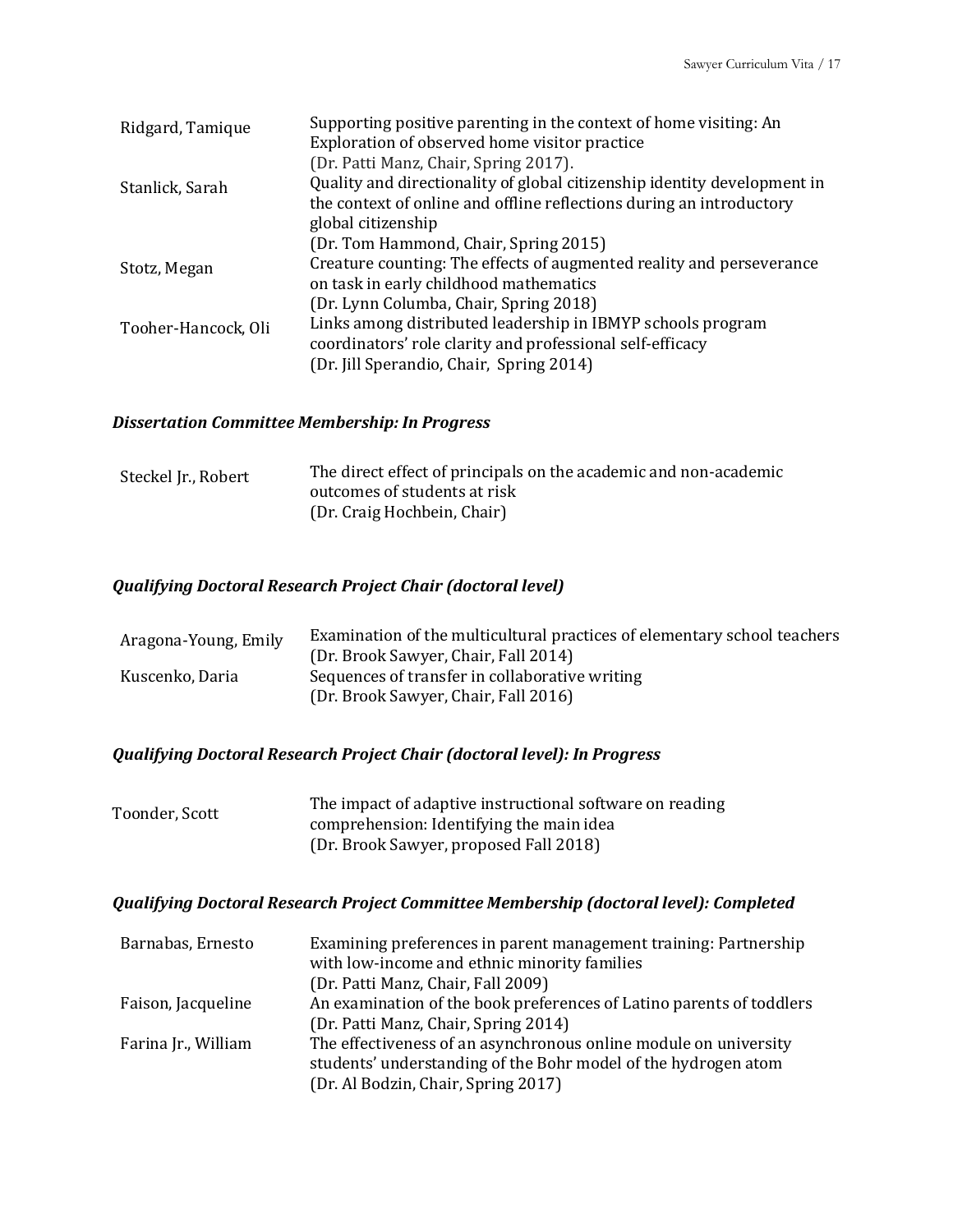| Ridgard, Tamique    | Supporting positive parenting in the context of home visiting: An        |
|---------------------|--------------------------------------------------------------------------|
|                     | Exploration of observed home visitor practice                            |
|                     | (Dr. Patti Manz, Chair, Spring 2017).                                    |
| Stanlick, Sarah     | Quality and directionality of global citizenship identity development in |
|                     | the context of online and offline reflections during an introductory     |
|                     | global citizenship                                                       |
|                     | (Dr. Tom Hammond, Chair, Spring 2015)                                    |
| Stotz, Megan        | Creature counting: The effects of augmented reality and perseverance     |
|                     | on task in early childhood mathematics                                   |
|                     | (Dr. Lynn Columba, Chair, Spring 2018)                                   |
| Tooher-Hancock, Oli | Links among distributed leadership in IBMYP schools program              |
|                     | coordinators' role clarity and professional self-efficacy                |
|                     | (Dr. Jill Sperandio, Chair, Spring 2014)                                 |

# *Dissertation Committee Membership: In Progress*

| Steckel Jr., Robert | The direct effect of principals on the academic and non-academic |
|---------------------|------------------------------------------------------------------|
|                     | outcomes of students at risk                                     |
|                     | (Dr. Craig Hochbein, Chair)                                      |

# *Qualifying Doctoral Research Project Chair (doctoral level)*

| Aragona-Young, Emily | Examination of the multicultural practices of elementary school teachers |
|----------------------|--------------------------------------------------------------------------|
|                      | (Dr. Brook Sawyer, Chair, Fall 2014)                                     |
| Kuscenko, Daria      | Sequences of transfer in collaborative writing                           |
|                      | (Dr. Brook Sawyer, Chair, Fall 2016)                                     |

# *Qualifying Doctoral Research Project Chair (doctoral level): In Progress*

| The impact of adaptive instructional software on reading |
|----------------------------------------------------------|
| comprehension: Identifying the main idea                 |
| (Dr. Brook Sawyer, proposed Fall 2018)                   |
|                                                          |

# *Qualifying Doctoral Research Project Committee Membership (doctoral level): Completed*

| Barnabas, Ernesto   | Examining preferences in parent management training: Partnership<br>with low-income and ethnic minority families<br>(Dr. Patti Manz, Chair, Fall 2009)                    |
|---------------------|---------------------------------------------------------------------------------------------------------------------------------------------------------------------------|
| Faison, Jacqueline  | An examination of the book preferences of Latino parents of toddlers<br>(Dr. Patti Manz, Chair, Spring 2014)                                                              |
| Farina Jr., William | The effectiveness of an asynchronous online module on university<br>students' understanding of the Bohr model of the hydrogen atom<br>(Dr. Al Bodzin, Chair, Spring 2017) |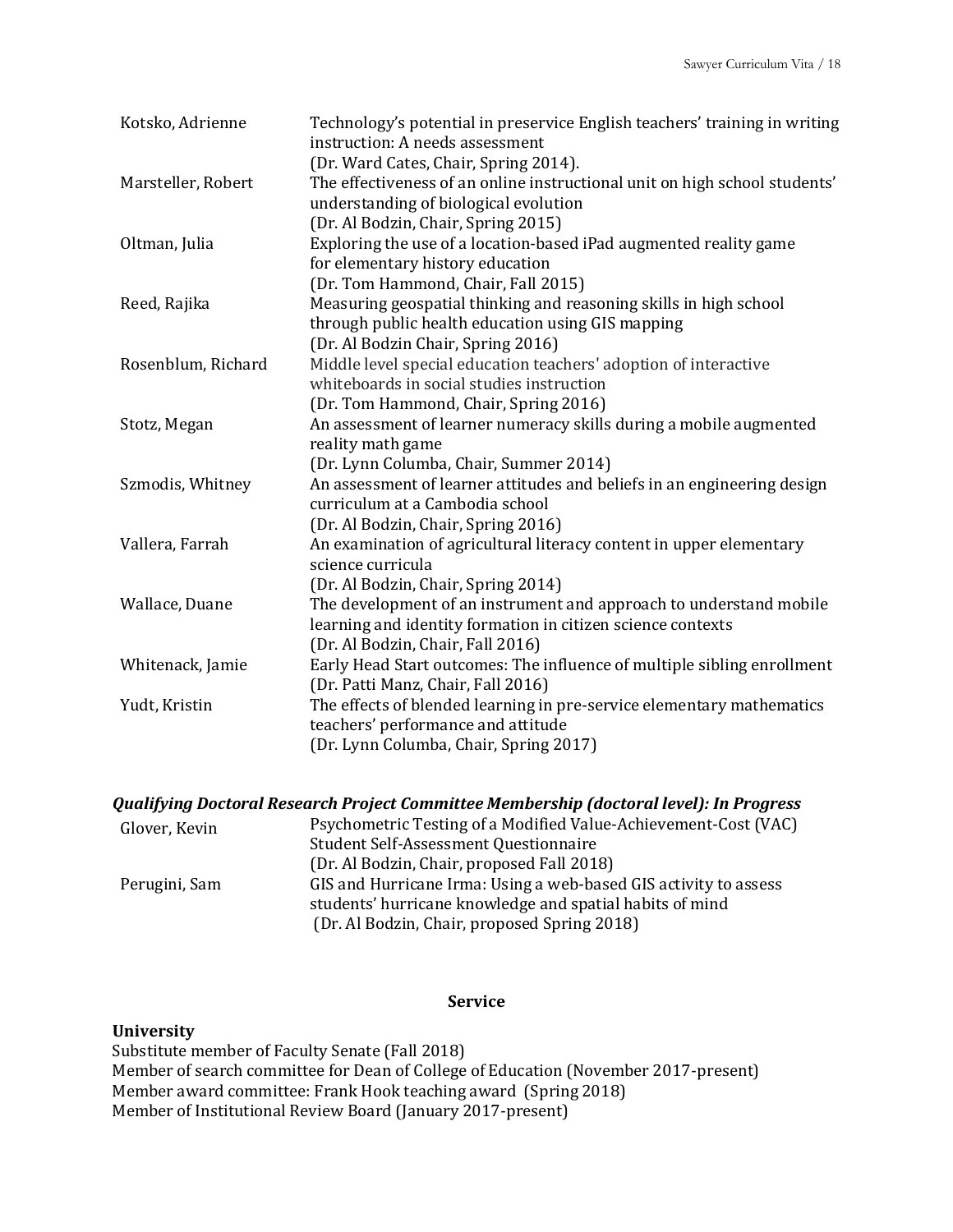| Kotsko, Adrienne   | Technology's potential in preservice English teachers' training in writing<br>instruction: A needs assessment<br>(Dr. Ward Cates, Chair, Spring 2014).                                              |
|--------------------|-----------------------------------------------------------------------------------------------------------------------------------------------------------------------------------------------------|
| Marsteller, Robert | The effectiveness of an online instructional unit on high school students'<br>understanding of biological evolution<br>(Dr. Al Bodzin, Chair, Spring 2015)                                          |
| Oltman, Julia      | Exploring the use of a location-based iPad augmented reality game<br>for elementary history education                                                                                               |
| Reed, Rajika       | (Dr. Tom Hammond, Chair, Fall 2015)<br>Measuring geospatial thinking and reasoning skills in high school<br>through public health education using GIS mapping<br>(Dr. Al Bodzin Chair, Spring 2016) |
| Rosenblum, Richard | Middle level special education teachers' adoption of interactive<br>whiteboards in social studies instruction<br>(Dr. Tom Hammond, Chair, Spring 2016)                                              |
| Stotz, Megan       | An assessment of learner numeracy skills during a mobile augmented<br>reality math game<br>(Dr. Lynn Columba, Chair, Summer 2014)                                                                   |
| Szmodis, Whitney   | An assessment of learner attitudes and beliefs in an engineering design<br>curriculum at a Cambodia school<br>(Dr. Al Bodzin, Chair, Spring 2016)                                                   |
| Vallera, Farrah    | An examination of agricultural literacy content in upper elementary<br>science curricula                                                                                                            |
| Wallace, Duane     | (Dr. Al Bodzin, Chair, Spring 2014)<br>The development of an instrument and approach to understand mobile<br>learning and identity formation in citizen science contexts                            |
| Whitenack, Jamie   | (Dr. Al Bodzin, Chair, Fall 2016)<br>Early Head Start outcomes: The influence of multiple sibling enrollment<br>(Dr. Patti Manz, Chair, Fall 2016)                                                  |
| Yudt, Kristin      | The effects of blended learning in pre-service elementary mathematics<br>teachers' performance and attitude<br>(Dr. Lynn Columba, Chair, Spring 2017)                                               |

#### *Qualifying Doctoral Research Project Committee Membership (doctoral level): In Progress*

| Glover, Kevin | Psychometric Testing of a Modified Value-Achievement-Cost (VAC)<br><b>Student Self-Assessment Questionnaire</b>              |
|---------------|------------------------------------------------------------------------------------------------------------------------------|
|               | (Dr. Al Bodzin, Chair, proposed Fall 2018)                                                                                   |
| Perugini, Sam | GIS and Hurricane Irma: Using a web-based GIS activity to assess<br>students' hurricane knowledge and spatial habits of mind |
|               | (Dr. Al Bodzin, Chair, proposed Spring 2018)                                                                                 |

# **Service**

#### **University**

Substitute member of Faculty Senate (Fall 2018) Member of search committee for Dean of College of Education (November 2017-present) Member award committee: Frank Hook teaching award (Spring 2018) Member of Institutional Review Board (January 2017-present)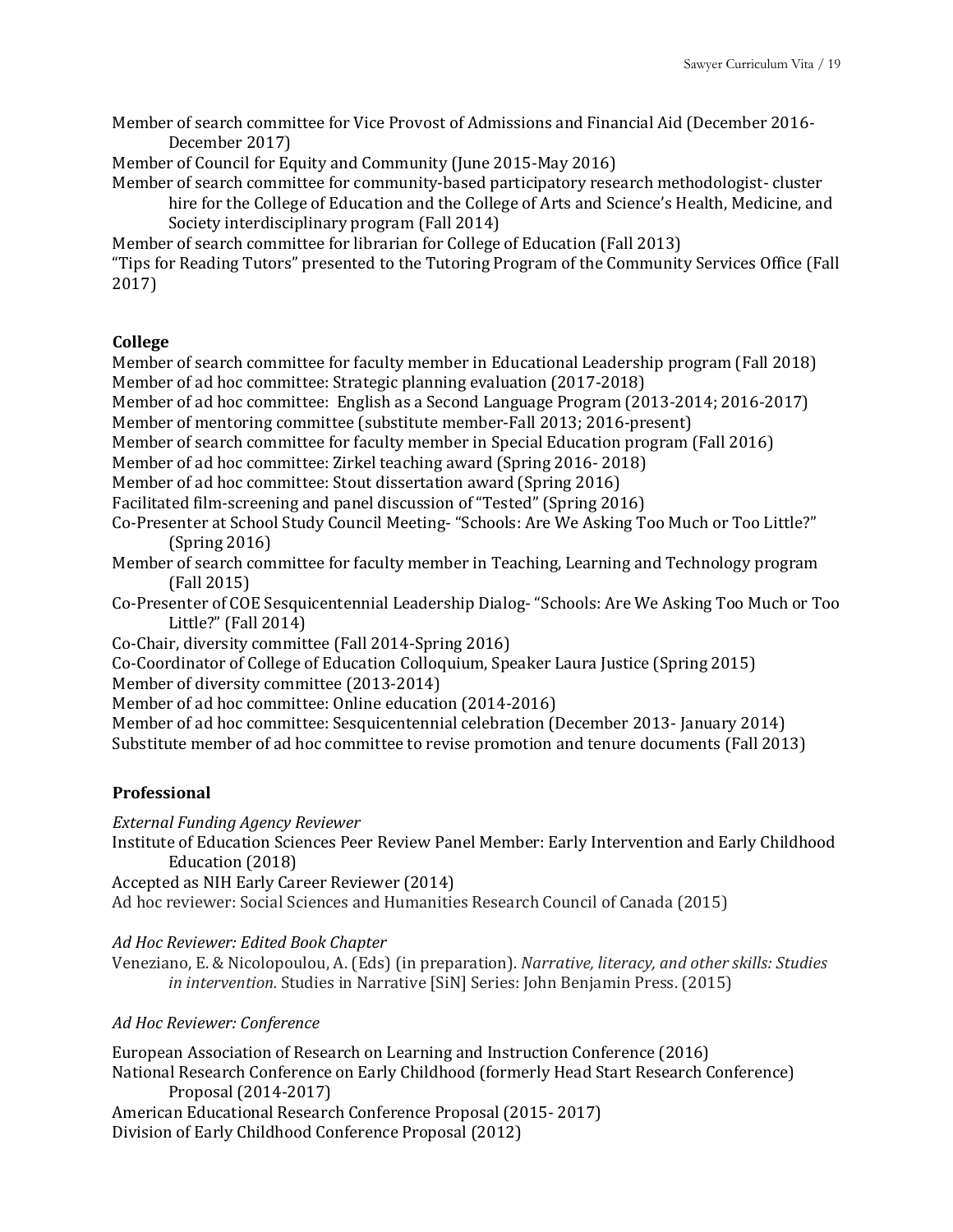Member of search committee for Vice Provost of Admissions and Financial Aid (December 2016-December 2017)

Member of Council for Equity and Community (June 2015-May 2016)

Member of search committee for community-based participatory research methodologist- cluster hire for the College of Education and the College of Arts and Science's Health, Medicine, and Society interdisciplinary program (Fall 2014)

Member of search committee for librarian for College of Education (Fall 2013)

"Tips for Reading Tutors" presented to the Tutoring Program of the Community Services Office (Fall 2017)

## **College**

Member of search committee for faculty member in Educational Leadership program (Fall 2018) Member of ad hoc committee: Strategic planning evaluation (2017-2018)

Member of ad hoc committee: English as a Second Language Program (2013-2014; 2016-2017)

Member of mentoring committee (substitute member-Fall 2013; 2016-present)

Member of search committee for faculty member in Special Education program (Fall 2016)

Member of ad hoc committee: Zirkel teaching award (Spring 2016- 2018)

Member of ad hoc committee: Stout dissertation award (Spring 2016)

Facilitated film-screening and panel discussion of "Tested" (Spring 2016)

Co-Presenter at School Study Council Meeting- "Schools: Are We Asking Too Much or Too Little?"  $(Spring 2016)$ 

Member of search committee for faculty member in Teaching, Learning and Technology program  $(Fall 2015)$ 

Co-Presenter of COE Sesquicentennial Leadership Dialog- "Schools: Are We Asking Too Much or Too Little?" (Fall 2014)

Co-Chair, diversity committee (Fall 2014-Spring 2016)

Co-Coordinator of College of Education Colloquium, Speaker Laura Justice (Spring 2015)

Member of diversity committee (2013-2014)

Member of ad hoc committee: Online education (2014-2016)

Member of ad hoc committee: Sesquicentennial celebration (December 2013- January 2014)

Substitute member of ad hoc committee to revise promotion and tenure documents (Fall 2013)

# **Professional**

*External Funding Agency Reviewer* Institute of Education Sciences Peer Review Panel Member: Early Intervention and Early Childhood Education (2018)

Accepted as NIH Early Career Reviewer (2014)

Ad hoc reviewer: Social Sciences and Humanities Research Council of Canada (2015)

*Ad Hoc Reviewer: Edited Book Chapter*

Veneziano, E. & Nicolopoulou, A. (Eds) (in preparation). *Narrative, literacy, and other skills: Studies in intervention.* Studies in Narrative [SiN] Series: John Benjamin Press. (2015)

## *Ad Hoc Reviewer: Conference*

European Association of Research on Learning and Instruction Conference (2016) National Research Conference on Early Childhood (formerly Head Start Research Conference) Proposal (2014-2017) American Educational Research Conference Proposal (2015-2017) Division of Early Childhood Conference Proposal (2012)